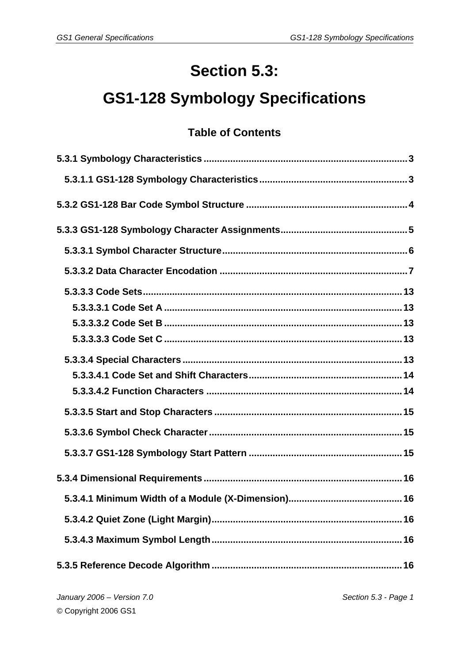# **Section 5.3:**

# **GS1-128 Symbology Specifications**

# **Table of Contents**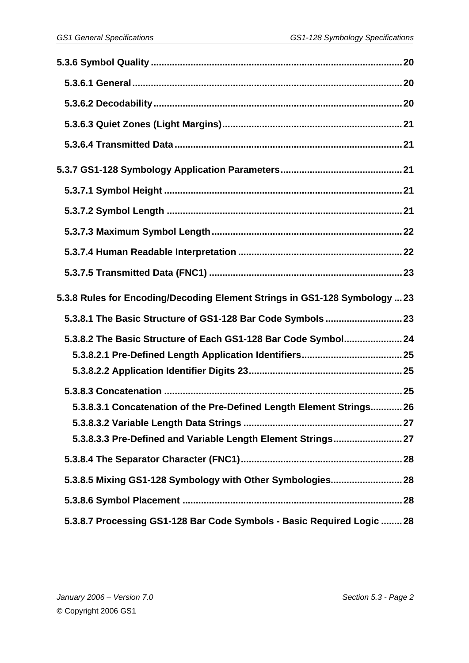| 5.3.8 Rules for Encoding/Decoding Element Strings in GS1-128 Symbology  23 |  |
|----------------------------------------------------------------------------|--|
| 5.3.8.1 The Basic Structure of GS1-128 Bar Code Symbols  23                |  |
| 5.3.8.2 The Basic Structure of Each GS1-128 Bar Code Symbol 24             |  |
|                                                                            |  |
|                                                                            |  |
|                                                                            |  |
| 5.3.8.3.1 Concatenation of the Pre-Defined Length Element Strings 26       |  |
|                                                                            |  |
| 5.3.8.3.3 Pre-Defined and Variable Length Element Strings 27               |  |
|                                                                            |  |
| 5.3.8.5 Mixing GS1-128 Symbology with Other Symbologies 28                 |  |
|                                                                            |  |
| 5.3.8.7 Processing GS1-128 Bar Code Symbols - Basic Required Logic  28     |  |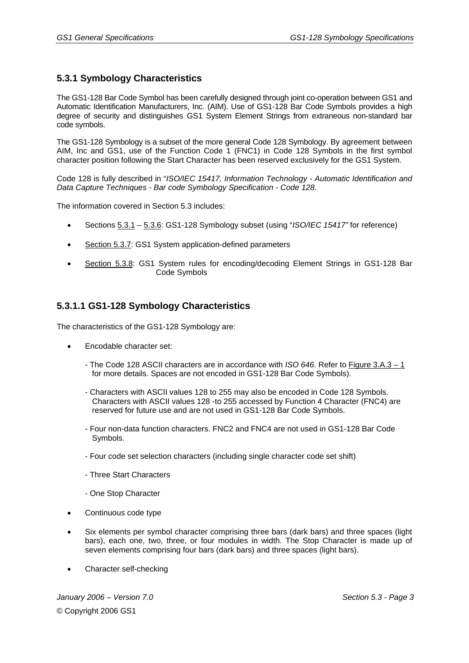#### **5.3.1 Symbology Characteristics**

The GS1-128 Bar Code Symbol has been carefully designed through joint co-operation between GS1 and Automatic Identification Manufacturers, Inc. (AIM). Use of GS1-128 Bar Code Symbols provides a high degree of security and distinguishes GS1 System Element Strings from extraneous non-standard bar code symbols.

The GS1-128 Symbology is a subset of the more general Code 128 Symbology. By agreement between AIM, Inc and GS1, use of the Function Code 1 (FNC1) in Code 128 Symbols in the first symbol character position following the Start Character has been reserved exclusively for the GS1 System.

Code 128 is fully described in "*ISO/IEC 15417, Information Technology - Automatic Identification and Data Capture Techniques - Bar code Symbology Specification - Code 128*.

The information covered in Section 5.3 includes:

- Sections 5.3.1 5.3.6: GS1-128 Symbology subset (using "*ISO/IEC 15417"* for reference)
- Section 5.3.7: GS1 System application-defined parameters
- Section 5.3.8: GS1 System rules for encoding/decoding Element Strings in GS1-128 Bar Code Symbols

#### **5.3.1.1 GS1-128 Symbology Characteristics**

The characteristics of the GS1-128 Symbology are:

- Encodable character set:
	- The Code 128 ASCII characters are in accordance with *ISO 646*. Refer to Figure 3.A.3 1 for more details. Spaces are not encoded in GS1-128 Bar Code Symbols).
	- Characters with ASCII values 128 to 255 may also be encoded in Code 128 Symbols. Characters with ASCII values 128 -to 255 accessed by Function 4 Character (FNC4) are reserved for future use and are not used in GS1-128 Bar Code Symbols.
	- Four non-data function characters. FNC2 and FNC4 are not used in GS1-128 Bar Code Symbols.
	- Four code set selection characters (including single character code set shift)
	- Three Start Characters
	- One Stop Character
- Continuous code type
- Six elements per symbol character comprising three bars (dark bars) and three spaces (light bars), each one, two, three, or four modules in width. The Stop Character is made up of seven elements comprising four bars (dark bars) and three spaces (light bars).
- Character self-checking

*January 2006 – Version 7.0 Section 5.3 - Page 3*  © Copyright 2006 GS1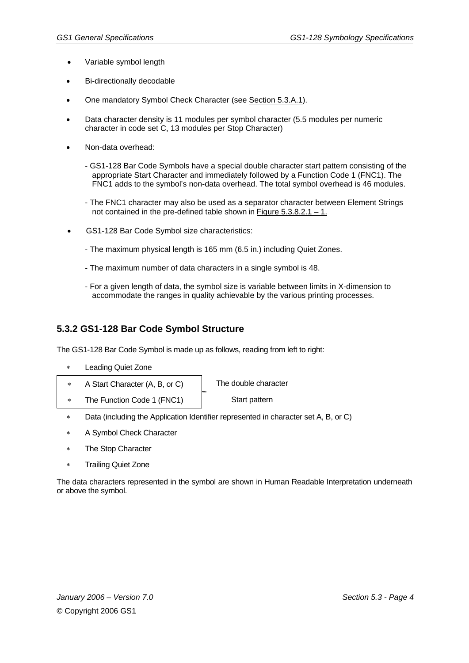- Variable symbol length
- Bi-directionally decodable
- One mandatory Symbol Check Character (see Section 5.3.A.1).
- Data character density is 11 modules per symbol character (5.5 modules per numeric character in code set C, 13 modules per Stop Character)
- Non-data overhead:
	- GS1-128 Bar Code Symbols have a special double character start pattern consisting of the appropriate Start Character and immediately followed by a Function Code 1 (FNC1). The FNC1 adds to the symbol's non-data overhead. The total symbol overhead is 46 modules.
	- The FNC1 character may also be used as a separator character between Element Strings not contained in the pre-defined table shown in Figure  $5.3.8.2.1 - 1.$
- GS1-128 Bar Code Symbol size characteristics:
	- The maximum physical length is 165 mm (6.5 in.) including Quiet Zones.
	- The maximum number of data characters in a single symbol is 48.
	- For a given length of data, the symbol size is variable between limits in X-dimension to accommodate the ranges in quality achievable by the various printing processes.

#### **5.3.2 GS1-128 Bar Code Symbol Structure**

The GS1-128 Bar Code Symbol is made up as follows, reading from left to right:

- ∗ Leading Quiet Zone
- ∗ A Start Character (A, B, or C) The double character
- ∗ The Function Code 1 (FNC1) Start pattern

- ∗ Data (including the Application Identifier represented in character set A, B, or C)
- A Symbol Check Character
- The Stop Character
- Trailing Quiet Zone

The data characters represented in the symbol are shown in Human Readable Interpretation underneath or above the symbol.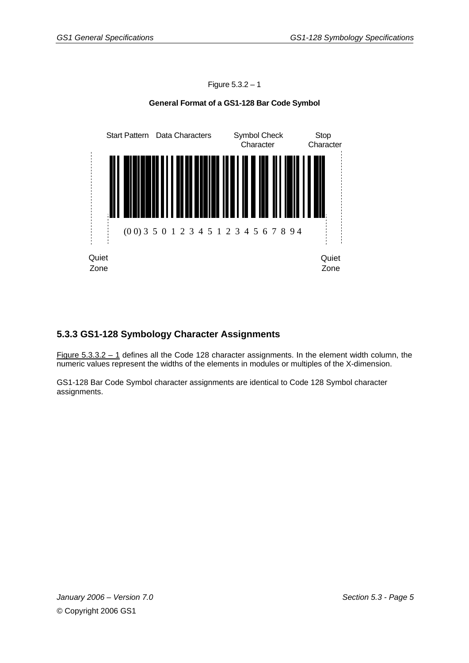

# Figure 5.3.2 – 1 **General Format of a GS1-128 Bar Code Symbol**

#### **5.3.3 GS1-128 Symbology Character Assignments**

Figure 5.3.3.2 – 1 defines all the Code 128 character assignments. In the element width column, the numeric values represent the widths of the elements in modules or multiples of the X-dimension.

GS1-128 Bar Code Symbol character assignments are identical to Code 128 Symbol character assignments.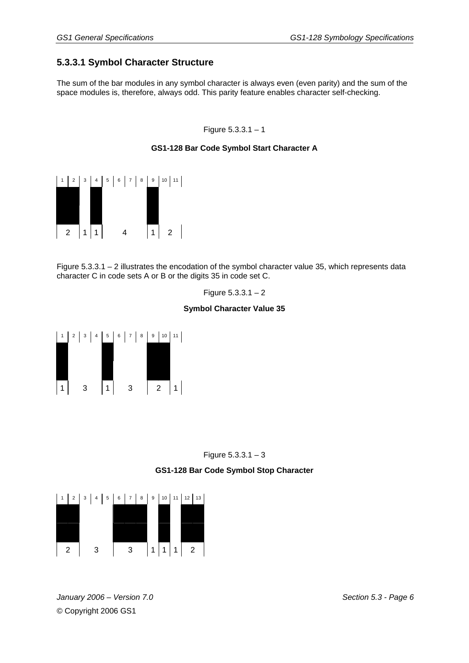# **5.3.3.1 Symbol Character Structure**

The sum of the bar modules in any symbol character is always even (even parity) and the sum of the space modules is, therefore, always odd. This parity feature enables character self-checking.

Figure 5.3.3.1 – 1

#### **GS1-128 Bar Code Symbol Start Character A**



Figure 5.3.3.1 – 2 illustrates the encodation of the symbol character value 35, which represents data character C in code sets A or B or the digits 35 in code set C.

Figure  $5.3.3.1 - 2$ 

#### **Symbol Character Value 35**





#### **GS1-128 Bar Code Symbol Stop Character**



*January 2006 – Version 7.0 Section 5.3 - Page 6*  © Copyright 2006 GS1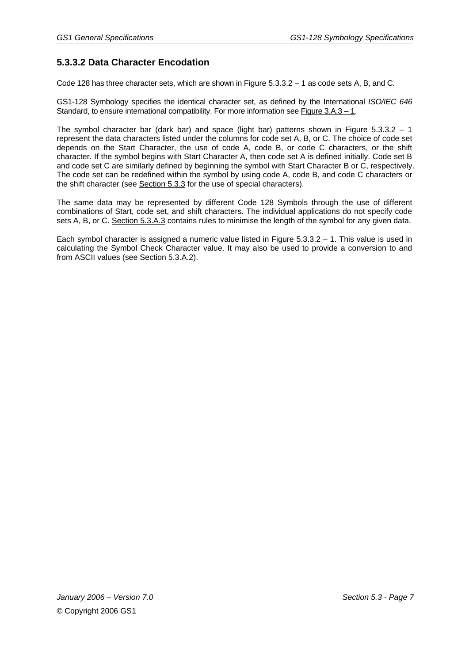# **5.3.3.2 Data Character Encodation**

Code 128 has three character sets, which are shown in Figure 5.3.3.2 – 1 as code sets A, B, and C.

GS1-128 Symbology specifies the identical character set, as defined by the International *ISO/IEC 646* Standard, to ensure international compatibility. For more information see Figure 3.A.3 – 1.

The symbol character bar (dark bar) and space (light bar) patterns shown in Figure 5.3.3.2 – 1 represent the data characters listed under the columns for code set A, B, or C. The choice of code set depends on the Start Character, the use of code A, code B, or code C characters, or the shift character. If the symbol begins with Start Character A, then code set A is defined initially. Code set B and code set C are similarly defined by beginning the symbol with Start Character B or C, respectively. The code set can be redefined within the symbol by using code A, code B, and code C characters or the shift character (see Section 5.3.3 for the use of special characters).

The same data may be represented by different Code 128 Symbols through the use of different combinations of Start, code set, and shift characters. The individual applications do not specify code sets A, B, or C. Section 5.3.A.3 contains rules to minimise the length of the symbol for any given data.

Each symbol character is assigned a numeric value listed in Figure 5.3.3.2 – 1. This value is used in calculating the Symbol Check Character value. It may also be used to provide a conversion to and from ASCII values (see Section 5.3.A.2).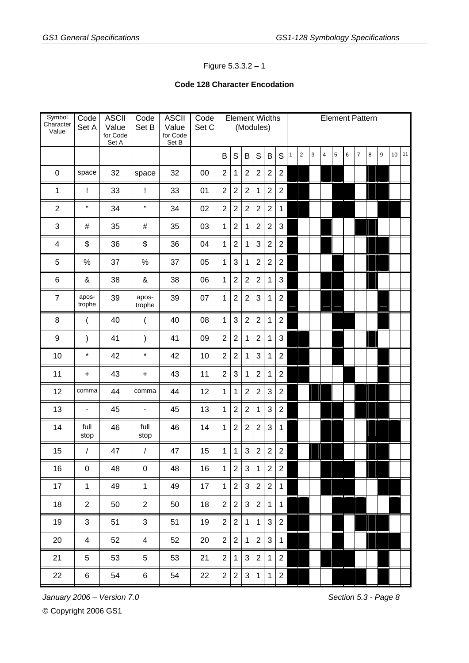#### Figure 5.3.3.2 – 1

#### **Code 128 Character Encodation**

| Symbol<br>Character<br>Value | Code<br>Set A   | <b>ASCII</b><br>Value<br>for Code<br>Set A | Code<br>Set B            | <b>ASCII</b><br>Value<br>for Code<br>Set B | Code<br>Set C |                | <b>Element Widths</b> |                | (Modules)      |                         |                         |   |                |   |                         |   | <b>Element Pattern</b> |                |        |   |    |    |
|------------------------------|-----------------|--------------------------------------------|--------------------------|--------------------------------------------|---------------|----------------|-----------------------|----------------|----------------|-------------------------|-------------------------|---|----------------|---|-------------------------|---|------------------------|----------------|--------|---|----|----|
|                              |                 |                                            |                          |                                            |               | B              | $\mathsf S$           | $\sf B$        | $\mathsf S$    | B                       | S                       | 1 | $\overline{2}$ | 3 | $\overline{\mathbf{4}}$ | 5 | 6                      | $\overline{7}$ | $\bf8$ | 9 | 10 | 11 |
| $\mathbf 0$                  | space           | 32                                         | space                    | 32                                         | 00            | $\overline{2}$ | 1                     | $\overline{2}$ | $\overline{2}$ | $\mathbf 2$             | $\boldsymbol{2}$        |   |                |   |                         |   |                        |                |        |   |    |    |
| $\mathbf{1}$                 | Ţ               | 33                                         | Ţ                        | 33                                         | 01            | $\overline{2}$ | $\overline{2}$        | $\overline{2}$ | $\mathbf{1}$   | $\overline{2}$          | $\overline{2}$          |   |                |   |                         |   |                        |                |        |   |    |    |
| $\overline{2}$               | $\sf H$         | 34                                         | H                        | 34                                         | 02            | $\overline{2}$ | $\overline{2}$        | $\overline{2}$ | $\overline{2}$ | $\overline{2}$          | $\mathbf 1$             |   |                |   |                         |   |                        |                |        |   |    |    |
| 3                            | #               | 35                                         | #                        | 35                                         | 03            | 1              | $\overline{2}$        | 1              | $\overline{2}$ | $\overline{2}$          | 3                       |   |                |   |                         |   |                        |                |        |   |    |    |
| $\overline{\mathcal{A}}$     | \$              | 36                                         | \$                       | 36                                         | 04            | $\mathbf{1}$   | $\overline{2}$        | 1              | 3              | $\boldsymbol{2}$        | $\mathbf 2$             |   |                |   |                         |   |                        |                |        |   |    |    |
| 5                            | $\%$            | 37                                         | %                        | 37                                         | 05            | $\mathbf{1}$   | 3                     | 1              | $\overline{2}$ | $\overline{2}$          | $\boldsymbol{2}$        |   |                |   |                         |   |                        |                |        |   |    |    |
| $\,6$                        | &               | 38                                         | &                        | 38                                         | 06            | $\mathbf{1}$   | $\overline{2}$        | $\overline{2}$ | $\overline{2}$ | $\mathbf{1}$            | 3                       |   |                |   |                         |   |                        |                |        |   |    |    |
| $\overline{7}$               | apos-<br>trophe | 39                                         | apos-<br>trophe          | 39                                         | 07            | $\mathbf{1}$   | $\overline{2}$        | $\overline{2}$ | 3              | 1                       | $\overline{2}$          |   |                |   |                         |   |                        |                |        |   |    |    |
| 8                            | (               | 40                                         | (                        | 40                                         | 08            | $\mathbf{1}$   | 3                     | $\overline{2}$ | $\overline{2}$ | $\mathbf{1}$            | $\mathbf 2$             |   |                |   |                         |   |                        |                |        |   |    |    |
| $\boldsymbol{9}$             | $\mathcal{E}$   | 41                                         | $\mathcal{E}$            | 41                                         | 09            | $\overline{2}$ | $\overline{2}$        | 1              | $\overline{2}$ | $\mathbf{1}$            | 3                       |   |                |   |                         |   |                        |                |        |   |    |    |
| 10                           | $\star$         | 42                                         | $\star$                  | 42                                         | 10            | $\overline{2}$ | $\overline{2}$        | 1              | 3              | $\mathbf{1}$            | $\overline{2}$          |   |                |   |                         |   |                        |                |        |   |    |    |
| 11                           | $\ddot{}$       | 43                                         | $\ddot{}$                | 43                                         | 11            | $\overline{2}$ | 3                     | 1              | $\overline{2}$ | 1                       | $\overline{2}$          |   |                |   |                         |   |                        |                |        |   |    |    |
| 12                           | comma           | 44                                         | comma                    | 44                                         | 12            | 1              | 1                     | $\overline{2}$ | $\overline{2}$ | 3                       | $\mathbf 2$             |   |                |   |                         |   |                        |                |        |   |    |    |
| 13                           |                 | 45                                         | $\overline{\phantom{m}}$ | 45                                         | 13            | 1              | $\overline{2}$        | $\overline{2}$ | $\mathbf{1}$   | 3                       | $\mathbf 2$             |   |                |   |                         |   |                        |                |        |   |    |    |
| 14                           | full<br>stop    | 46                                         | full<br>stop             | 46                                         | 14            | 1              | $\overline{2}$        | $\overline{2}$ | $\overline{2}$ | 3                       | $\mathbf{1}$            |   |                |   |                         |   |                        |                |        |   |    |    |
| 15                           | $\sqrt{2}$      | 47                                         | $\sqrt{ }$               | 47                                         | 15            | 1              | 1                     | 3              | $\overline{2}$ | $\overline{2}$          | $\overline{2}$          |   |                |   |                         |   |                        |                |        |   |    |    |
| 16                           | $\pmb{0}$       | 48                                         | $\pmb{0}$                | 48                                         | 16            | 1              | $\overline{c}$        | 3              | $\mathbf{1}$   | $\overline{\mathbf{c}}$ | $\overline{\mathbf{c}}$ |   |                |   |                         |   |                        |                |        |   |    |    |
| 17                           | $\mathbf{1}$    | 49                                         | $\mathbf{1}$             | 49                                         | 17            | $\mathbf{1}$   | $\overline{2}$        | 3 <sup>1</sup> | $\overline{2}$ | $\sqrt{2}$              | $\mathbf{1}$            |   |                |   |                         |   |                        |                |        |   |    |    |
| 18                           | $\overline{2}$  | 50                                         | $\overline{2}$           | 50                                         | 18            | $\overline{2}$ | $\overline{2}$        | 3              | $\overline{2}$ | $\mathbf{1}$            | $\mathbf{1}$            |   |                |   |                         |   |                        |                |        |   |    |    |
| 19                           | 3               | 51                                         | 3                        | 51                                         | 19            | $\overline{2}$ | $\overline{2}$        | $\mathbf{1}$   | $\mathbf{1}$   | 3                       | 2                       |   |                |   |                         |   |                        |                |        |   |    |    |
| 20                           | 4               | 52                                         | $\overline{\mathbf{4}}$  | 52                                         | 20            | $\overline{2}$ | $\overline{2}$        | $\mathbf 1$    | $\overline{2}$ | $\mathbf{3}$            | $\mathbf 1$             |   |                |   |                         |   |                        |                |        |   |    |    |
| 21                           | 5               | 53                                         | 5                        | 53                                         | 21            | $\overline{2}$ | $\mathbf 1$           | $\mathbf{3}$   | $\overline{2}$ | $\mathbf{1}$            | $\overline{2}$          |   |                |   |                         |   |                        |                |        |   |    |    |
| 22                           | 6               | 54                                         | 6                        | 54                                         | 22            | $\overline{2}$ | $\sqrt{2}$            | $\mathbf{3}$   | $\mathbf{1}$   | $\mathbf{1}$            | $\mathbf{2}$            |   |                |   |                         |   |                        |                |        |   |    |    |

*January 2006* – Version 7.0 Section 5.3 - Page 8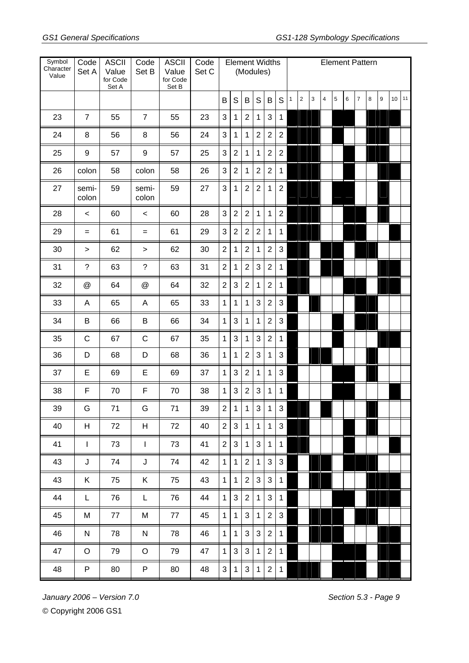| Symbol<br>Character<br>Value | Code<br>Set A             | <b>ASCII</b><br>Value<br>for Code<br>Set A | Code<br>Set B             | <b>ASCII</b><br>Value<br>for Code<br>Set B | Code<br>Set C |                |                |                | (Modules)      | <b>Element Widths</b> |                |              |                |   | <b>Element Pattern</b>  |   |   |                |   |   |    |    |
|------------------------------|---------------------------|--------------------------------------------|---------------------------|--------------------------------------------|---------------|----------------|----------------|----------------|----------------|-----------------------|----------------|--------------|----------------|---|-------------------------|---|---|----------------|---|---|----|----|
|                              |                           |                                            |                           |                                            |               | B              | $\mathsf S$    | $\sf B$        | $\mathsf S$    | B                     | S              | $\mathbf{1}$ | $\overline{2}$ | 3 | $\overline{\mathbf{4}}$ | 5 | 6 | $\overline{7}$ | 8 | 9 | 10 | 11 |
| 23                           | $\overline{7}$            | 55                                         | $\overline{7}$            | 55                                         | 23            | 3              | 1              | $\overline{2}$ | 1              | 3                     | 1              |              |                |   |                         |   |   |                |   |   |    |    |
| 24                           | $\, 8$                    | 56                                         | 8                         | 56                                         | 24            | 3              | 1              | 1              | $\overline{2}$ | $\overline{2}$        | $\overline{2}$ |              |                |   |                         |   |   |                |   |   |    |    |
| 25                           | 9                         | 57                                         | 9                         | 57                                         | 25            | 3              | $\overline{2}$ | 1              | $\mathbf 1$    | $\overline{2}$        | $\overline{2}$ |              |                |   |                         |   |   |                |   |   |    |    |
| 26                           | colon                     | 58                                         | colon                     | 58                                         | 26            | 3              | $\overline{2}$ | 1              | $\overline{2}$ | $\overline{2}$        | 1              |              |                |   |                         |   |   |                |   |   |    |    |
| 27                           | semi-<br>colon            | 59                                         | semi-<br>colon            | 59                                         | 27            | 3              | 1              | $\overline{2}$ | $\overline{2}$ | 1                     | $\overline{2}$ |              |                |   |                         |   |   |                |   |   |    |    |
| 28                           | $\,<$                     | 60                                         | $\,<$                     | 60                                         | 28            | 3              | $\overline{2}$ | $\overline{2}$ | $\mathbf{1}$   | $\mathbf 1$           | $\overline{2}$ |              |                |   |                         |   |   |                |   |   |    |    |
| 29                           | $=$                       | 61                                         | $=$                       | 61                                         | 29            | 3              | $\sqrt{2}$     | $\overline{2}$ | $\overline{2}$ | $\mathbf 1$           | 1              |              |                |   |                         |   |   |                |   |   |    |    |
| 30                           | $\, > \,$                 | 62                                         | >                         | 62                                         | 30            | $\overline{2}$ | 1              | $\overline{2}$ | 1              | $\overline{2}$        | $\sqrt{3}$     |              |                |   |                         |   |   |                |   |   |    |    |
| 31                           | $\tilde{?}$               | 63                                         | $\tilde{?}$               | 63                                         | 31            | $\overline{2}$ | 1              | $\overline{2}$ | 3              | $\overline{2}$        | 1              |              |                |   |                         |   |   |                |   |   |    |    |
| 32                           | $^\text{\textregistered}$ | 64                                         | $^\text{\textregistered}$ | 64                                         | 32            | $\overline{2}$ | 3              | $\overline{2}$ | $\mathbf 1$    | $\overline{2}$        | 1              |              |                |   |                         |   |   |                |   |   |    |    |
| 33                           | A                         | 65                                         | A                         | 65                                         | 33            | $\mathbf{1}$   | $\mathbf{1}$   | 1              | 3              | $\overline{2}$        | 3              |              |                |   |                         |   |   |                |   |   |    |    |
| 34                           | B                         | 66                                         | B                         | 66                                         | 34            | $\mathbf{1}$   | 3              | 1              | $\mathbf 1$    | $\overline{2}$        | 3              |              |                |   |                         |   |   |                |   |   |    |    |
| 35                           | $\mathsf C$               | 67                                         | C                         | 67                                         | 35            | $\mathbf{1}$   | $\sqrt{3}$     | 1              | 3              | $\sqrt{2}$            | $\mathbf 1$    |              |                |   |                         |   |   |                |   |   |    |    |
| 36                           | D                         | 68                                         | D                         | 68                                         | 36            | $\mathbf{1}$   | 1              | $\overline{2}$ | 3              | 1                     | 3              |              |                |   |                         |   |   |                |   |   |    |    |
| 37                           | E                         | 69                                         | E                         | 69                                         | 37            | $\mathbf{1}$   | 3              | 2              | 1              | 1                     | 3              |              |                |   |                         |   |   |                |   |   |    |    |
| 38                           | F                         | 70                                         | F                         | 70                                         | 38            | $\mathbf{1}$   | 3              | $\overline{2}$ | 3              | 1                     | 1              |              |                |   |                         |   |   |                |   |   |    |    |
| 39                           | G                         | 71                                         | G                         | 71                                         | 39            | 2 <sup>1</sup> | 1              | 1              | $\mathbf{3}$   | $\mathbf{1}$          | 3              |              |                |   |                         |   |   |                |   |   |    |    |
| 40                           | H                         | 72                                         | H                         | 72                                         | 40            | 2 <sup>1</sup> | 3 <sup>1</sup> | $\vert$ 1      | 1              | $\overline{1}$        | $\mathbf{3}$   |              |                |   |                         |   |   |                |   |   |    |    |
| 41                           | $\mathbf{I}$              | 73                                         | $\mathbf{I}$              | 73                                         | 41            | 2 <sup>1</sup> | $\mathbf{3}$   | $\mathbf{1}$   | 3              | $\mathbf{1}$          | $\mathbf{1}$   |              |                |   |                         |   |   |                |   |   |    |    |
| 43                           | J                         | 74                                         | J                         | 74                                         | 42            | $\mathbf{1}$   | $\mathbf 1$    | $\overline{2}$ | $\mathbf{1}$   | $\mathfrak{S}$        | $\mathbf{3}$   |              |                |   |                         |   |   |                |   |   |    |    |
| 43                           | K.                        | 75                                         | Κ                         | 75                                         | 43            | $\mathbf 1$    | $\mathbf{1}$   | 2 <sup>1</sup> | 3              | $\mathbf{3}$          | $\mathbf{1}$   |              |                |   |                         |   |   |                |   |   |    |    |
| 44                           | L.                        | 76                                         | L.                        | 76                                         | 44            | 1 <sup>1</sup> | 3              | $\overline{2}$ | $\mathbf{1}$   | 3                     | $\mathbf{1}$   |              |                |   |                         |   |   |                |   |   |    |    |
| 45                           | M                         | 77                                         | M                         | 77                                         | 45            | $\mathbf{1}$   | $\mathbf{1}$   | $\mathbf{3}$   | $\mathbf 1$    | $\overline{2}$        | $\mathbf{3}$   |              |                |   |                         |   |   |                |   |   |    |    |
| 46                           | N                         | 78                                         | N                         | 78                                         | 46            | $\mathbf 1$    | $\mathbf{1}$   | 3 <sup>1</sup> | 3              | $\sqrt{2}$            | $\mathbf{1}$   |              |                |   |                         |   |   |                |   |   |    |    |
| 47                           | $\circ$                   | 79                                         | $\circ$                   | 79                                         | 47            | $\mathbf{1}$   | $\mathbf{3}$   | $\mathbf{3}$   | $\mathbf{1}$   | $\sqrt{2}$            | $\mathbf{1}$   |              |                |   |                         |   |   |                |   |   |    |    |
| 48                           | P.                        | 80                                         | P                         | 80                                         | 48            | 3              | $\mathbf{1}$   | 3 <sup>1</sup> | $\mathbf 1$    | $\overline{2}$        | $\mathbf{1}$   |              |                |   |                         |   |   |                |   |   |    |    |

*January 2006* – Version 7.0 **Section 5.3 - Page 9** Section 5.3 - Page 9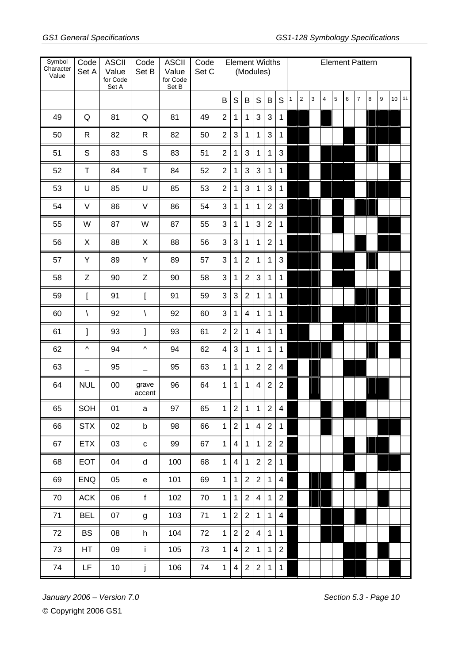| Symbol<br>Character<br>Value | Code<br>Set A | <b>ASCII</b><br>Value<br>for Code<br>Set A | Code<br>Set B   | <b>ASCII</b><br>Value<br>for Code<br>Set B | Code<br>Set C |                | <b>Element Widths</b>   | (Modules)       |                |                |                         |              |                |              | <b>Element Pattern</b> |   |   |                |   |   |                 |    |
|------------------------------|---------------|--------------------------------------------|-----------------|--------------------------------------------|---------------|----------------|-------------------------|-----------------|----------------|----------------|-------------------------|--------------|----------------|--------------|------------------------|---|---|----------------|---|---|-----------------|----|
|                              |               |                                            |                 |                                            |               | B              | $\mathsf S$             | $\sf B$         | S              | B              | S                       | $\mathbf{1}$ | $\overline{2}$ | $\mathbf{3}$ | $\overline{4}$         | 5 | 6 | $\overline{7}$ | 8 | 9 | 10 <sup>1</sup> | 11 |
| 49                           | Q             | 81                                         | Q               | 81                                         | 49            | $\overline{2}$ | 1                       | 1               | 3              | 3              | $\mathbf 1$             |              |                |              |                        |   |   |                |   |   |                 |    |
| 50                           | $\mathsf{R}$  | 82                                         | $\mathsf{R}$    | 82                                         | 50            | $\overline{2}$ | 3                       | 1               | $\mathbf{1}$   | $\sqrt{3}$     | 1                       |              |                |              |                        |   |   |                |   |   |                 |    |
| 51                           | S             | 83                                         | $\mathsf S$     | 83                                         | 51            | $\overline{2}$ | $\mathbf{1}$            | $\mathbf{3}$    | $\mathbf{1}$   | $\mathbf{1}$   | $\mathbf{3}$            |              |                |              |                        |   |   |                |   |   |                 |    |
| 52                           | $\top$        | 84                                         | $\top$          | 84                                         | 52            | $\overline{2}$ | $\mathbf{1}$            | $\mathbf{3}$    | 3              | $\mathbf{1}$   | $\mathbf{1}$            |              |                |              |                        |   |   |                |   |   |                 |    |
| 53                           | U             | 85                                         | U               | 85                                         | 53            | $\overline{2}$ | $\mathbf{1}$            | $\mathbf{3}$    | $\mathbf{1}$   | $\mathbf{3}$   | $\mathbf{1}$            |              |                |              |                        |   |   |                |   |   |                 |    |
| 54                           | V             | 86                                         | V               | 86                                         | 54            | 3              | $\mathbf 1$             | $\mathbf{1}$    | $\mathbf 1$    | $\overline{2}$ | $\mathbf{3}$            |              |                |              |                        |   |   |                |   |   |                 |    |
| 55                           | W             | 87                                         | W               | 87                                         | 55            | 3              | $\mathbf{1}$            | $\mathbf 1$     | $\mathbf{3}$   | $\overline{2}$ | $\mathbf{1}$            |              |                |              |                        |   |   |                |   |   |                 |    |
| 56                           | X             | 88                                         | $\pmb{\times}$  | 88                                         | 56            | 3              | $\mathbf{3}$            | $\mathbf{1}$    | $\mathbf{1}$   | $\overline{2}$ | $\mathbf{1}$            |              |                |              |                        |   |   |                |   |   |                 |    |
| 57                           | Υ             | 89                                         | Υ               | 89                                         | 57            | 3              | $\mathbf{1}$            | $\overline{2}$  | $\mathbf{1}$   | $\mathbf 1$    | $\mathbf{3}$            |              |                |              |                        |   |   |                |   |   |                 |    |
| 58                           | Z             | 90                                         | Z               | 90                                         | 58            | 3              | 1                       | $\overline{2}$  | 3              | $\mathbf 1$    | 1                       |              |                |              |                        |   |   |                |   |   |                 |    |
| 59                           | $\mathbf{I}$  | 91                                         | ſ               | 91                                         | 59            | 3              | 3                       | $\overline{2}$  | $\mathbf{1}$   | $\mathbf 1$    | $\mathbf{1}$            |              |                |              |                        |   |   |                |   |   |                 |    |
| 60                           | $\backslash$  | 92                                         | $\backslash$    | 92                                         | 60            | 3              | $\mathbf{1}$            | $\overline{4}$  | $\mathbf{1}$   | $\mathbf{1}$   | $\mathbf{1}$            |              |                |              |                        |   |   |                |   |   |                 |    |
| 61                           | l             | 93                                         | 1               | 93                                         | 61            | $\overline{2}$ | $\overline{2}$          | $\mathbf{1}$    | $\overline{4}$ | $\mathbf{1}$   | $\mathbf{1}$            |              |                |              |                        |   |   |                |   |   |                 |    |
| 62                           | Λ             | 94                                         | Λ               | 94                                         | 62            | 4              | 3                       | $\mathbf{1}$    | $\mathbf{1}$   | $\mathbf{1}$   | $\mathbf{1}$            |              |                |              |                        |   |   |                |   |   |                 |    |
| 63                           |               | 95                                         |                 | 95                                         | 63            | $\mathbf{1}$   | $\mathbf{1}$            | $\mathbf 1$     | $\overline{2}$ | $\overline{2}$ | $\overline{\mathbf{4}}$ |              |                |              |                        |   |   |                |   |   |                 |    |
| 64                           | <b>NUL</b>    | 00                                         | grave<br>accent | 96                                         | 64            | $\mathbf{1}$   | 1                       | 1               | $\overline{4}$ | $\overline{2}$ | $\overline{2}$          |              |                |              |                        |   |   |                |   |   |                 |    |
| 65                           | SOH           | 01                                         | а               | 97                                         | 65            | $\mathbf{1}$   | $\overline{2}$          | 1               | $\overline{1}$ | 2              | $\overline{\mathbf{4}}$ |              |                |              |                        |   |   |                |   |   |                 |    |
| 66                           | <b>STX</b>    | 02                                         | b               | 98                                         | 66            | $\mathbf{1}$   | $\overline{2}$          | $1 \mid$        | 4              | 2 <sup>1</sup> | $\overline{1}$          |              |                |              |                        |   |   |                |   |   |                 |    |
| 67                           | <b>ETX</b>    | 03                                         | $\mathbf{C}$    | 99                                         | 67            | $\mathbf{1}$   | $\overline{\mathbf{4}}$ | $\mathbf{1}$    | $\mathbf{1}$   | $\overline{2}$ | $\overline{2}$          |              |                |              |                        |   |   |                |   |   |                 |    |
| 68                           | EOT           | 04                                         | d               | 100                                        | 68            | $\mathbf{1}$   | $\overline{\mathbf{4}}$ | 1               | $\overline{2}$ | $\overline{2}$ | $\mathbf{1}$            |              |                |              |                        |   |   |                |   |   |                 |    |
| 69                           | <b>ENQ</b>    | 05                                         | e               | 101                                        | 69            | $\mathbf{1}$   | $\mathbf 1$             | $\overline{2}$  | $\overline{2}$ | $\mathbf{1}$   | $\overline{\mathbf{4}}$ |              |                |              |                        |   |   |                |   |   |                 |    |
| 70                           | <b>ACK</b>    | 06                                         | f               | 102                                        | 70            | $\mathbf{1}$   | $\mathbf{1}$            | 2 <sup>1</sup>  | $\overline{4}$ | $\mathbf{1}$   | $\overline{2}$          |              |                |              |                        |   |   |                |   |   |                 |    |
| 71                           | <b>BEL</b>    | 07                                         | g               | 103                                        | 71            | $\mathbf{1}$   | $\overline{2}$          | $\overline{2}$  | $\mathbf 1$    | $\mathbf{1}$   | $\overline{4}$          |              |                |              |                        |   |   |                |   |   |                 |    |
| 72                           | <b>BS</b>     | 08                                         | h               | 104                                        | 72            | $\mathbf{1}$   | $\overline{2}$          | 2 <sup>1</sup>  | $\overline{4}$ | $\mathbf 1$    | $\overline{1}$          |              |                |              |                        |   |   |                |   |   |                 |    |
| 73                           | HT            | 09                                         | $\mathbf{i}$    | 105                                        | 73            | $\mathbf{1}$   | $\overline{4}$          | 2 <sup>1</sup>  | $\mathbf 1$    | $\mathbf{1}$   | $\overline{2}$          |              |                |              |                        |   |   |                |   |   |                 |    |
| 74                           | LF.           | 10 <sub>1</sub>                            | j               | 106                                        | 74            | $\mathbf{1}$   | $\overline{4}$          | $2\overline{ }$ | $\overline{2}$ | $\mathbf{1}$   | $\overline{1}$          |              |                |              |                        |   |   |                |   |   |                 |    |

*January 2006 – Version 7.0 Section 5.3 - Page 10*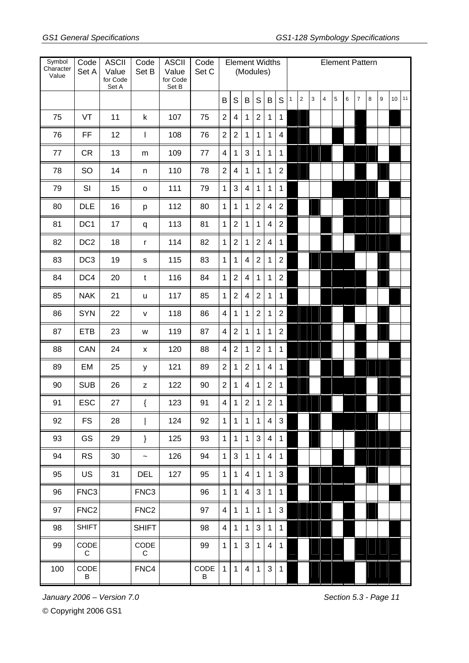| Symbol<br>Character<br>Value | Code<br>Set A    | <b>ASCII</b><br>Value<br>for Code<br>Set A | Code<br>Set B      | <b>ASCII</b><br>Value<br>for Code<br>Set B | Code<br>Set C |                | <b>Element Widths</b>   | (Modules)      |                |                          |                |              |                |   |                         |   |   |                | <b>Element Pattern</b> |   |    |    |
|------------------------------|------------------|--------------------------------------------|--------------------|--------------------------------------------|---------------|----------------|-------------------------|----------------|----------------|--------------------------|----------------|--------------|----------------|---|-------------------------|---|---|----------------|------------------------|---|----|----|
|                              |                  |                                            |                    |                                            |               | B              | $\mathsf S$             | $\sf B$        | S              | B                        | S              | $\mathbf{1}$ | $\overline{c}$ | 3 | $\overline{\mathbf{4}}$ | 5 | 6 | $\overline{7}$ | $\,8\,$                | 9 | 10 | 11 |
| 75                           | VT               | 11                                         | $\sf k$            | 107                                        | 75            | $\overline{2}$ | 4                       | 1              | $\overline{2}$ | 1                        | 1              |              |                |   |                         |   |   |                |                        |   |    |    |
| 76                           | <b>FF</b>        | 12                                         | I                  | 108                                        | 76            | $\overline{2}$ | $\overline{2}$          | 1              | 1              | 1                        | $\overline{4}$ |              |                |   |                         |   |   |                |                        |   |    |    |
| 77                           | <b>CR</b>        | 13                                         | m                  | 109                                        | 77            | $\overline{4}$ | 1                       | $\mathbf{3}$   | $\mathbf{1}$   | $\mathbf{1}$             | 1              |              |                |   |                         |   |   |                |                        |   |    |    |
| 78                           | SO               | 14                                         | n                  | 110                                        | 78            | $\overline{2}$ | $\overline{\mathbf{4}}$ | 1              | $\mathbf{1}$   | $\mathbf{1}$             | $\overline{2}$ |              |                |   |                         |   |   |                |                        |   |    |    |
| 79                           | SI               | 15                                         | $\mathsf{o}$       | 111                                        | 79            | $\mathbf{1}$   | 3                       | 4              | 1              | 1                        | 1              |              |                |   |                         |   |   |                |                        |   |    |    |
| 80                           | <b>DLE</b>       | 16                                         | р                  | 112                                        | 80            | $\mathbf{1}$   | 1                       | 1              | $\overline{2}$ | $\overline{\mathcal{A}}$ | $\overline{2}$ |              |                |   |                         |   |   |                |                        |   |    |    |
| 81                           | DC <sub>1</sub>  | 17                                         | q                  | 113                                        | 81            | $\mathbf{1}$   | $\overline{2}$          | 1              | $\mathbf 1$    | $\overline{\mathcal{A}}$ | $\overline{2}$ |              |                |   |                         |   |   |                |                        |   |    |    |
| 82                           | DC <sub>2</sub>  | 18                                         | $\mathsf{r}$       | 114                                        | 82            | $\mathbf{1}$   | $\overline{2}$          | 1              | $\overline{2}$ | $\overline{4}$           | 1              |              |                |   |                         |   |   |                |                        |   |    |    |
| 83                           | DC <sub>3</sub>  | 19                                         | S                  | 115                                        | 83            | $\mathbf{1}$   | 1                       | 4              | $\overline{2}$ | 1                        | $\overline{2}$ |              |                |   |                         |   |   |                |                        |   |    |    |
| 84                           | DC4              | 20                                         | $\mathsf{t}$       | 116                                        | 84            | $\mathbf{1}$   | $\overline{2}$          | 4              | 1              | 1                        | $\overline{2}$ |              |                |   |                         |   |   |                |                        |   |    |    |
| 85                           | <b>NAK</b>       | 21                                         | u                  | 117                                        | 85            | 1              | $\overline{2}$          | 4              | $\overline{2}$ | 1                        | 1              |              |                |   |                         |   |   |                |                        |   |    |    |
| 86                           | <b>SYN</b>       | 22                                         | v                  | 118                                        | 86            | 4              | $\mathbf{1}$            | 1              | $\overline{2}$ | 1                        | $\overline{2}$ |              |                |   |                         |   |   |                |                        |   |    |    |
| 87                           | <b>ETB</b>       | 23                                         | W                  | 119                                        | 87            | $\overline{4}$ | $\overline{2}$          | 1              | $\mathbf{1}$   | 1                        | $\overline{2}$ |              |                |   |                         |   |   |                |                        |   |    |    |
| 88                           | CAN              | 24                                         | $\pmb{\mathsf{x}}$ | 120                                        | 88            | $\overline{4}$ | $\overline{2}$          | 1              | $\overline{2}$ | 1                        | 1              |              |                |   |                         |   |   |                |                        |   |    |    |
| 89                           | EM               | 25                                         | У                  | 121                                        | 89            | $\overline{2}$ | 1                       | $\overline{2}$ | $\mathbf{1}$   | $\overline{\mathcal{A}}$ | 1              |              |                |   |                         |   |   |                |                        |   |    |    |
| 90                           | <b>SUB</b>       | 26                                         | z                  | 122                                        | 90            | $\overline{2}$ | $\mathbf{1}$            | $\overline{4}$ | 1              | $\overline{2}$           | 1              |              |                |   |                         |   |   |                |                        |   |    |    |
| 91                           | <b>ESC</b>       | 27                                         | $\{$               | 123                                        | 91            | $\overline{4}$ | $\mathbf{1}$            | $\overline{2}$ | $\mathbf{1}$   | $\boldsymbol{2}$         | $\mathbf 1$    |              |                |   |                         |   |   |                |                        |   |    |    |
| 92                           | <b>FS</b>        | 28                                         |                    | 124                                        | 92            | $\mathbf{1}$   | $\mathbf{1}$            | $\mathbf{1}$   | $\mathbf{1}$   | $\overline{4}$           | 3              |              |                |   |                         |   |   |                |                        |   |    |    |
| 93                           | GS               | 29                                         | }                  | 125                                        | 93            | $\mathbf{1}$   | $\mathbf 1$             | $\mathbf{1}$   | 3              | 4                        | 1              |              |                |   |                         |   |   |                |                        |   |    |    |
| 94                           | <b>RS</b>        | 30                                         | $\tilde{}$         | 126                                        | 94            | $\mathbf{1}$   | $\mathbf{3}$            | $\mathbf{1}$   | $\mathbf{1}$   | 4                        | 1              |              |                |   |                         |   |   |                |                        |   |    |    |
| 95                           | <b>US</b>        | 31                                         | <b>DEL</b>         | 127                                        | 95            | $\mathbf{1}$   | $\mathbf{1}$            | 4              | $\mathbf{1}$   | 1                        | $\mathbf{3}$   |              |                |   |                         |   |   |                |                        |   |    |    |
| 96                           | FNC <sub>3</sub> |                                            | FNC <sub>3</sub>   |                                            | 96            | $\mathbf{1}$   | $\mathbf{1}$            | 4              | 3              | $\mathbf{1}$             | $\mathbf{1}$   |              |                |   |                         |   |   |                |                        |   |    |    |
| 97                           | FNC <sub>2</sub> |                                            | FNC <sub>2</sub>   |                                            | 97            | $\overline{4}$ | $\mathbf{1}$            | 1              | 1              | $\mathbf{1}$             | $\sqrt{3}$     |              |                |   |                         |   |   |                |                        |   |    |    |
| 98                           | <b>SHIFT</b>     |                                            | <b>SHIFT</b>       |                                            | 98            | 4              | $\mathbf{1}$            | 1              | 3              | $\mathbf{1}$             | 1              |              |                |   |                         |   |   |                |                        |   |    |    |
| 99                           | CODE<br>C        |                                            | CODE<br>C          |                                            | 99            | $\mathbf{1}$   | $\mathbf{1}$            | 3              | $\mathbf{1}$   | $\overline{4}$           | $\mathbf 1$    |              |                |   |                         |   |   |                |                        |   |    |    |
| 100                          | CODE<br>B        |                                            | FNC4               |                                            | CODE<br>B     | $\mathbf{1}$   | $\mathbf{1}$            | $\overline{4}$ | $\mathbf{1}$   | $\sqrt{3}$               | $\mathbf 1$    |              |                |   |                         |   |   |                |                        |   |    |    |

*January 2006 – Version 7.0 Section 5.3 - Page 11*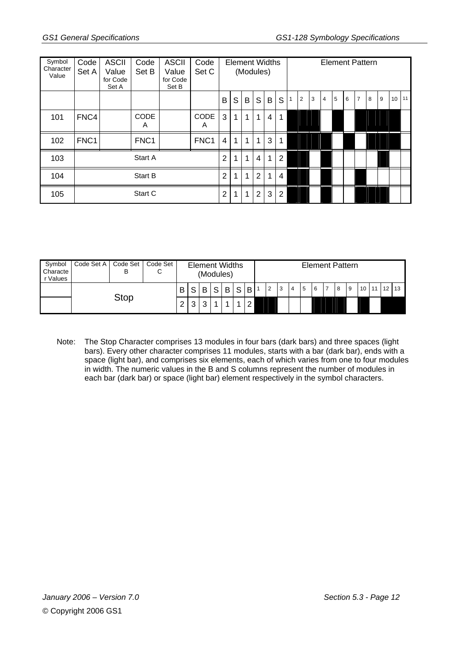| Symbol<br>Character<br>Value | Code<br>Set A    | <b>ASCII</b><br>Value<br>for Code<br>Set A | Code<br>Set B    | <b>ASCII</b><br>Value<br>for Code<br>Set B | Code<br>Set C    |                | <b>Element Widths</b> | (Modules) |                |              |                |                |   |                |   |   | <b>Element Pattern</b> |   |   |                  |    |
|------------------------------|------------------|--------------------------------------------|------------------|--------------------------------------------|------------------|----------------|-----------------------|-----------|----------------|--------------|----------------|----------------|---|----------------|---|---|------------------------|---|---|------------------|----|
|                              |                  |                                            |                  |                                            |                  | B              | S                     | B         | S              | B            | S              | $\overline{2}$ | 3 | $\overline{4}$ | 5 | 6 | $\overline{7}$         | 8 | 9 | 10 <sup>10</sup> | 11 |
| 101                          | FNC4             |                                            | <b>CODE</b><br>A |                                            | <b>CODE</b><br>A | 3              | 1                     | 1         | 1              | 4            | 1              |                |   |                |   |   |                        |   |   |                  |    |
| 102                          | FNC <sub>1</sub> |                                            | FNC <sub>1</sub> |                                            | FNC <sub>1</sub> | 4              | 1                     | 1         | $\mathbf{1}$   | $\mathbf{3}$ | 1              |                |   |                |   |   |                        |   |   |                  |    |
| 103                          |                  |                                            | Start A          |                                            |                  | $\overline{2}$ | 1                     | 1         | $\overline{4}$ | $\mathbf{1}$ | $\overline{2}$ |                |   |                |   |   |                        |   |   |                  |    |
| 104                          |                  |                                            | Start B          |                                            |                  | 2              | 1                     | 1         | $\overline{2}$ | 1            | 4              |                |   |                |   |   |                        |   |   |                  |    |
| 105                          |                  |                                            | Start C          |                                            |                  | $\overline{2}$ | 1                     | 1         | $\overline{2}$ | 3            | $\overline{2}$ |                |   |                |   |   |                        |   |   |                  |    |

| Symbol<br>Characte<br>r Values | Code Set A | Code Set   Code Set<br>В | С |  |   | <b>Element Widths</b><br>(Modules) |          |              |              |        |                |   |   |   |   | <b>Element Pattern</b> |   |                 |    |              |  |
|--------------------------------|------------|--------------------------|---|--|---|------------------------------------|----------|--------------|--------------|--------|----------------|---|---|---|---|------------------------|---|-----------------|----|--------------|--|
|                                |            | Stop                     |   |  | S | B                                  | $\sim$ 1 | $\mathsf{B}$ | $\mathsf{S}$ | B      | $\overline{2}$ | 3 | 4 | 5 | 6 | 8                      | 9 | 10 <sup>1</sup> | 11 | $12 \mid 13$ |  |
|                                |            |                          |   |  | 3 | ົ                                  |          |              |              | $\sim$ |                |   |   |   |   |                        |   |                 |    |              |  |

Note: The Stop Character comprises 13 modules in four bars (dark bars) and three spaces (light bars). Every other character comprises 11 modules, starts with a bar (dark bar), ends with a space (light bar), and comprises six elements, each of which varies from one to four modules in width. The numeric values in the B and S columns represent the number of modules in each bar (dark bar) or space (light bar) element respectively in the symbol characters.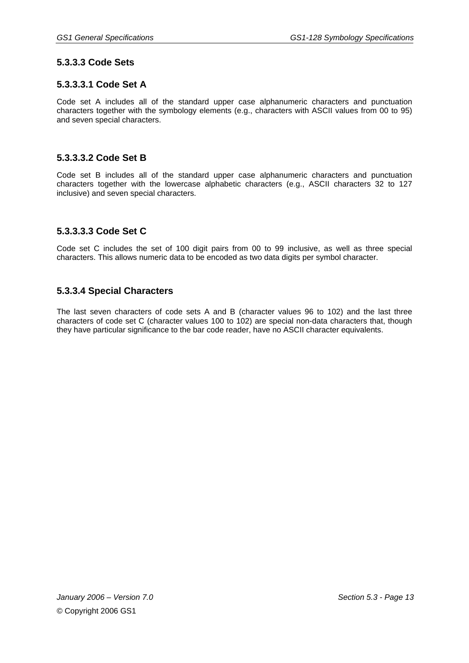#### **5.3.3.3 Code Sets**

#### **5.3.3.3.1 Code Set A**

Code set A includes all of the standard upper case alphanumeric characters and punctuation characters together with the symbology elements (e.g., characters with ASCII values from 00 to 95) and seven special characters.

#### **5.3.3.3.2 Code Set B**

Code set B includes all of the standard upper case alphanumeric characters and punctuation characters together with the lowercase alphabetic characters (e.g., ASCII characters 32 to 127 inclusive) and seven special characters.

#### **5.3.3.3.3 Code Set C**

Code set C includes the set of 100 digit pairs from 00 to 99 inclusive, as well as three special characters. This allows numeric data to be encoded as two data digits per symbol character.

#### **5.3.3.4 Special Characters**

The last seven characters of code sets A and B (character values 96 to 102) and the last three characters of code set C (character values 100 to 102) are special non-data characters that, though they have particular significance to the bar code reader, have no ASCII character equivalents.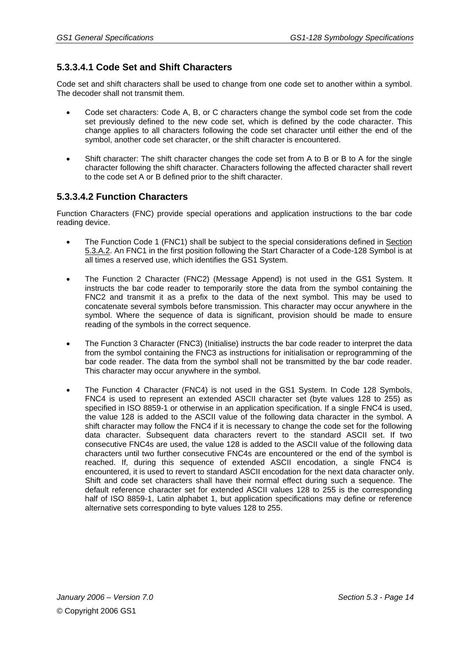# **5.3.3.4.1 Code Set and Shift Characters**

Code set and shift characters shall be used to change from one code set to another within a symbol. The decoder shall not transmit them.

- Code set characters: Code A, B, or C characters change the symbol code set from the code set previously defined to the new code set, which is defined by the code character. This change applies to all characters following the code set character until either the end of the symbol, another code set character, or the shift character is encountered.
- Shift character: The shift character changes the code set from A to B or B to A for the single character following the shift character. Characters following the affected character shall revert to the code set A or B defined prior to the shift character.

#### **5.3.3.4.2 Function Characters**

Function Characters (FNC) provide special operations and application instructions to the bar code reading device.

- The Function Code 1 (FNC1) shall be subject to the special considerations defined in Section 5.3.A.2. An FNC1 in the first position following the Start Character of a Code-128 Symbol is at all times a reserved use, which identifies the GS1 System.
- The Function 2 Character (FNC2) (Message Append) is not used in the GS1 System. It instructs the bar code reader to temporarily store the data from the symbol containing the FNC2 and transmit it as a prefix to the data of the next symbol. This may be used to concatenate several symbols before transmission. This character may occur anywhere in the symbol. Where the sequence of data is significant, provision should be made to ensure reading of the symbols in the correct sequence.
- The Function 3 Character (FNC3) (Initialise) instructs the bar code reader to interpret the data from the symbol containing the FNC3 as instructions for initialisation or reprogramming of the bar code reader. The data from the symbol shall not be transmitted by the bar code reader. This character may occur anywhere in the symbol.
- The Function 4 Character (FNC4) is not used in the GS1 System. In Code 128 Symbols, FNC4 is used to represent an extended ASCII character set (byte values 128 to 255) as specified in ISO 8859-1 or otherwise in an application specification. If a single FNC4 is used, the value 128 is added to the ASCII value of the following data character in the symbol. A shift character may follow the FNC4 if it is necessary to change the code set for the following data character. Subsequent data characters revert to the standard ASCII set. If two consecutive FNC4s are used, the value 128 is added to the ASCII value of the following data characters until two further consecutive FNC4s are encountered or the end of the symbol is reached. If, during this sequence of extended ASCII encodation, a single FNC4 is encountered, it is used to revert to standard ASCII encodation for the next data character only. Shift and code set characters shall have their normal effect during such a sequence. The default reference character set for extended ASCII values 128 to 255 is the corresponding half of ISO 8859-1, Latin alphabet 1, but application specifications may define or reference alternative sets corresponding to byte values 128 to 255.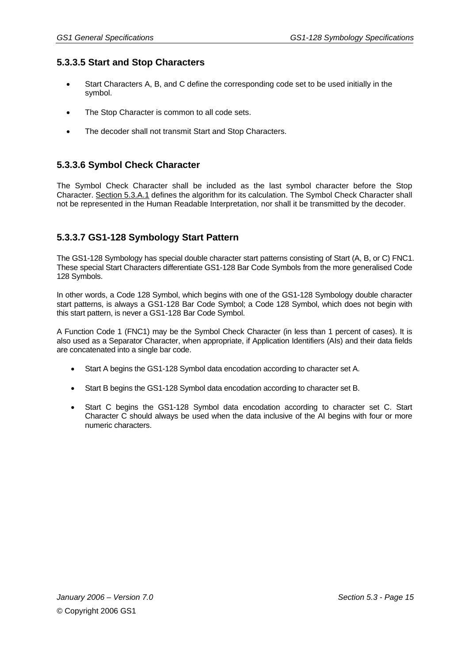#### **5.3.3.5 Start and Stop Characters**

- Start Characters A, B, and C define the corresponding code set to be used initially in the symbol.
- The Stop Character is common to all code sets.
- The decoder shall not transmit Start and Stop Characters.

#### **5.3.3.6 Symbol Check Character**

The Symbol Check Character shall be included as the last symbol character before the Stop Character. Section 5.3.A.1 defines the algorithm for its calculation. The Symbol Check Character shall not be represented in the Human Readable Interpretation, nor shall it be transmitted by the decoder.

#### **5.3.3.7 GS1-128 Symbology Start Pattern**

The GS1-128 Symbology has special double character start patterns consisting of Start (A, B, or C) FNC1. These special Start Characters differentiate GS1-128 Bar Code Symbols from the more generalised Code 128 Symbols.

In other words, a Code 128 Symbol, which begins with one of the GS1-128 Symbology double character start patterns, is always a GS1-128 Bar Code Symbol; a Code 128 Symbol, which does not begin with this start pattern, is never a GS1-128 Bar Code Symbol.

A Function Code 1 (FNC1) may be the Symbol Check Character (in less than 1 percent of cases). It is also used as a Separator Character, when appropriate, if Application Identifiers (AIs) and their data fields are concatenated into a single bar code.

- Start A begins the GS1-128 Symbol data encodation according to character set A.
- Start B begins the GS1-128 Symbol data encodation according to character set B.
- Start C begins the GS1-128 Symbol data encodation according to character set C. Start Character C should always be used when the data inclusive of the AI begins with four or more numeric characters.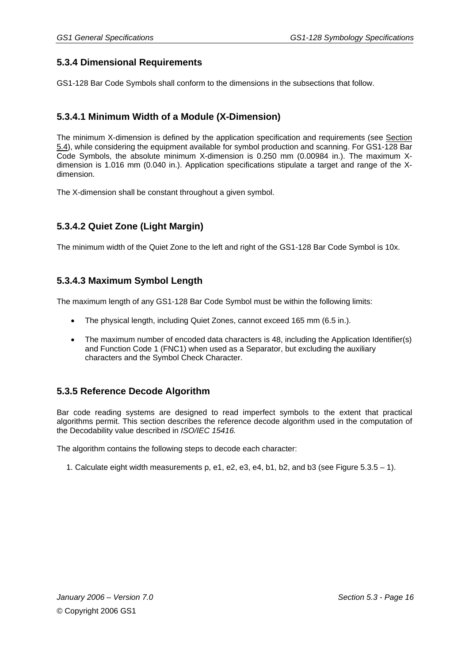#### **5.3.4 Dimensional Requirements**

GS1-128 Bar Code Symbols shall conform to the dimensions in the subsections that follow.

#### **5.3.4.1 Minimum Width of a Module (X-Dimension)**

The minimum X-dimension is defined by the application specification and requirements (see Section 5.4), while considering the equipment available for symbol production and scanning. For GS1-128 Bar Code Symbols, the absolute minimum X-dimension is 0.250 mm (0.00984 in.). The maximum Xdimension is 1.016 mm (0.040 in.). Application specifications stipulate a target and range of the Xdimension.

The X-dimension shall be constant throughout a given symbol.

#### **5.3.4.2 Quiet Zone (Light Margin)**

The minimum width of the Quiet Zone to the left and right of the GS1-128 Bar Code Symbol is 10x.

#### **5.3.4.3 Maximum Symbol Length**

The maximum length of any GS1-128 Bar Code Symbol must be within the following limits:

- The physical length, including Quiet Zones, cannot exceed 165 mm (6.5 in.).
- The maximum number of encoded data characters is 48, including the Application Identifier(s) and Function Code 1 (FNC1) when used as a Separator, but excluding the auxiliary characters and the Symbol Check Character.

#### **5.3.5 Reference Decode Algorithm**

Bar code reading systems are designed to read imperfect symbols to the extent that practical algorithms permit. This section describes the reference decode algorithm used in the computation of the Decodability value described in *ISO/IEC 15416.* 

The algorithm contains the following steps to decode each character:

1. Calculate eight width measurements p, e1, e2, e3, e4, b1, b2, and b3 (see Figure 5.3.5 – 1).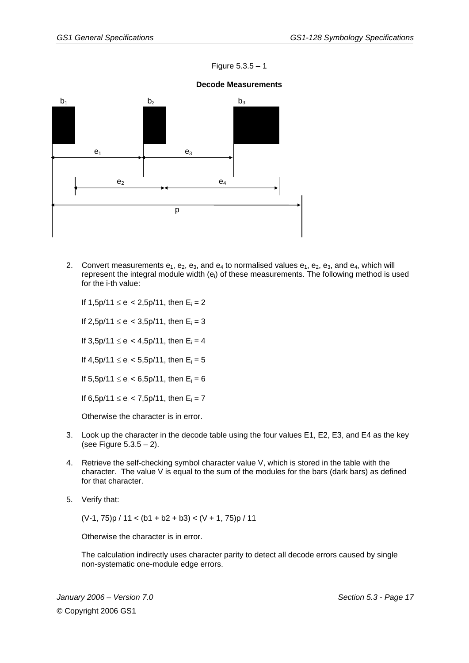#### Figure  $5.3.5 - 1$

# $b_1$   $b_2$   $b_3$  $e_1$   $e_3$  $e_2$  e<sub>4</sub> p

#### **Decode Measurements**

2. Convert measurements  $e_1$ ,  $e_2$ ,  $e_3$ , and  $e_4$  to normalised values  $e_1$ ,  $e_2$ ,  $e_3$ , and  $e_4$ , which will represent the integral module width (e<sub>i</sub>) of these measurements. The following method is used for the i-th value:

If  $1,5p/11 \le e_i < 2,5p/11$ , then  $E_i = 2$ 

If 2,5p/11  $\le e_i < 3,5p/11$ , then  $E_i = 3$ 

If  $3,5p/11 \le e_i < 4,5p/11$ , then  $E_i = 4$ 

If  $4,5p/11 \le e_i < 5,5p/11$ , then  $E_i = 5$ 

If  $5,5p/11 \le e_i < 6,5p/11$ , then  $E_i = 6$ 

If  $6,5p/11 \le e_i < 7,5p/11$ , then  $E_i = 7$ 

Otherwise the character is in error.

- 3. Look up the character in the decode table using the four values E1, E2, E3, and E4 as the key (see Figure 5.3.5 – 2).
- 4. Retrieve the self-checking symbol character value V, which is stored in the table with the character. The value V is equal to the sum of the modules for the bars (dark bars) as defined for that character.
- 5. Verify that:

 $(V-1, 75)p / 11 < (b1 + b2 + b3) < (V + 1, 75)p / 11$ 

Otherwise the character is in error.

The calculation indirectly uses character parity to detect all decode errors caused by single non-systematic one-module edge errors.

*January 2006 – Version 7.0 Section 5.3 - Page 17*  © Copyright 2006 GS1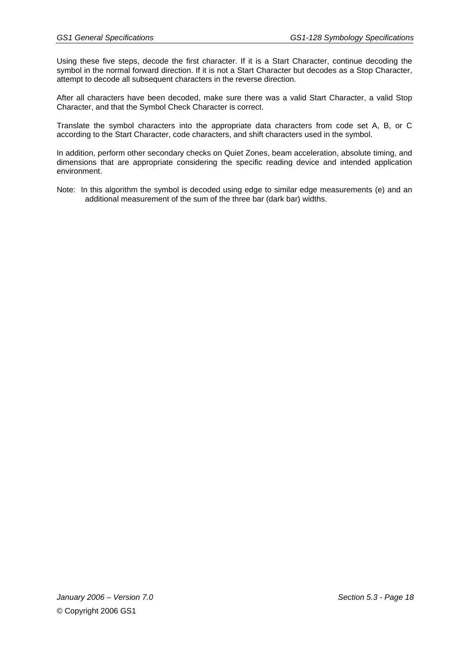Using these five steps, decode the first character. If it is a Start Character, continue decoding the symbol in the normal forward direction. If it is not a Start Character but decodes as a Stop Character, attempt to decode all subsequent characters in the reverse direction.

After all characters have been decoded, make sure there was a valid Start Character, a valid Stop Character, and that the Symbol Check Character is correct.

Translate the symbol characters into the appropriate data characters from code set A, B, or C according to the Start Character, code characters, and shift characters used in the symbol.

In addition, perform other secondary checks on Quiet Zones, beam acceleration, absolute timing, and dimensions that are appropriate considering the specific reading device and intended application environment.

Note: In this algorithm the symbol is decoded using edge to similar edge measurements (e) and an additional measurement of the sum of the three bar (dark bar) widths.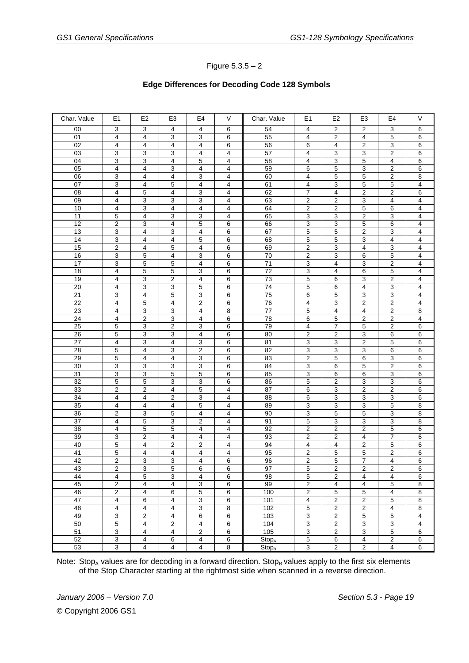#### Figure 5.3.5 – 2

#### **Edge Differences for Decoding Code 128 Symbols**

| Char. Value           | E <sub>1</sub> | E <sub>2</sub>          | E <sub>3</sub>          | E4                      | V              | Char. Value              | E <sub>1</sub>          | E <sub>2</sub>          | E <sub>3</sub>          | E4                      | V                       |
|-----------------------|----------------|-------------------------|-------------------------|-------------------------|----------------|--------------------------|-------------------------|-------------------------|-------------------------|-------------------------|-------------------------|
| 00                    | 3              | 3                       | 4                       | 4                       | 6              | 54                       | 4                       | $\overline{2}$          | $\overline{2}$          | 3                       | 6                       |
| 01                    | 4              | $\overline{4}$          | 3                       | 3                       | 6              | 55                       | $\overline{4}$          | $\overline{2}$          | $\overline{4}$          | 5                       | 6                       |
| 02                    | 4              | 4                       | 4                       | 4                       | 6              | 56                       | 6                       | 4                       | $\sqrt{2}$              | 3                       | 6                       |
| $\overline{03}$       | 3              | 3                       | 3                       | $\overline{4}$          | 4              | 57                       | 4                       | 3                       | 3                       | $\boldsymbol{2}$        | 6                       |
| 04                    | 3              | 3                       | 4                       | 5                       | 4              | 58                       | $\overline{\mathbf{4}}$ | $\overline{3}$          | $\overline{5}$          | $\overline{4}$          | $\overline{6}$          |
| 05                    | 4              | 4                       | 3                       | 4                       | 4              | 59                       | 6                       | $\overline{5}$          | 3                       | 2                       | 6                       |
| 06                    | 3              | 4                       | 4                       | 3                       | 4              | 60                       | 4                       | 5                       | 5                       | $\overline{2}$          | 8                       |
| 07                    | 3              | 4                       | 5                       | $\overline{4}$          | 4              | 61                       | $\overline{\mathbf{4}}$ | 3                       | $\overline{5}$          | 5                       | 4                       |
| 08                    | 4              | 5                       | 4                       | 3                       | 4              | 62                       | 7                       | 4                       | 2                       | 2                       | 6                       |
| 09                    | 4              | 3                       | 3                       | 3                       | 4              | 63                       | 2                       | 2                       | 3                       | $\overline{4}$          | 4                       |
| 10                    | 4              | 3                       | 4                       | $\overline{4}$          | 4              | 64                       | $\overline{2}$          | $\overline{2}$          | $\overline{5}$          | 6                       | 4                       |
| 11                    | 5              | 4                       | 3                       | 3                       | 4              | 65                       | 3                       | 3                       | 2                       | 3                       | 4                       |
| 12                    | $\overline{2}$ | 3                       | 4                       | 5                       | 6              | 66                       | 3                       | $\overline{3}$          | $\overline{5}$          | 6                       | 4                       |
| 13                    | 3              | 4                       | 3                       | $\overline{4}$          | 6              | 67                       | $\overline{5}$          | $\overline{5}$          | $\overline{2}$          | 3                       | 4                       |
| 14                    | 3              | 4                       | 4                       | 5                       | 6              | 68                       | 5                       | $\,$ 5 $\,$             | 3                       | 4                       | 4                       |
| 15                    | $\overline{2}$ | $\overline{4}$          | 5                       | 4                       | 6              | 69                       | 2                       | $\overline{3}$          | $\overline{4}$          | 3                       | $\overline{\mathbf{4}}$ |
| 16                    | 3              | 5                       | 4                       | 3                       | 6              | 70                       | 2                       | 3                       | 6                       | 5                       | 4                       |
| 17                    | 3              | 5                       | 5                       | 4                       | 6              | 71                       | 3                       | 4                       | 3                       | $\overline{\mathbf{c}}$ | 4                       |
| $\overline{18}$       | 4              | 5                       | 5                       | 3                       | 6              | 72                       | 3                       | $\overline{4}$          | 6                       | 5                       | $\overline{4}$          |
| 19                    | 4              | 3                       | $\overline{\mathbf{c}}$ | $\overline{4}$          | 6              | 73                       | 5                       | $6\overline{6}$         | 3                       | $\overline{c}$          | 4                       |
| 20                    | 4              | 3                       | 3                       | 5                       | 6              | 74                       | 5                       | 6                       | 4                       | 3                       | 4                       |
| $\overline{21}$       | 3              | 4                       | 5                       | $\overline{3}$          | 6              | 75                       | 6                       | $\overline{5}$          | $\overline{3}$          | 3                       | $\overline{\mathbf{4}}$ |
| $\overline{22}$       | 4              | 5                       | 4                       | $\overline{2}$          | 6              | 76                       | 4                       | 3                       | $\overline{c}$          | $\boldsymbol{2}$        | 4                       |
| $\overline{23}$       | 4              | 3                       | 3                       | 4                       | 8              | $77$                     | $\overline{5}$          | 4                       | $\overline{\mathbf{4}}$ | $\overline{c}$          | 8                       |
| $\overline{24}$       | 4              | $\overline{c}$          | 3                       | $\overline{4}$          | 6              | 78                       | 6                       | 5                       | $\overline{2}$          | $\overline{2}$          | $\overline{\mathbf{4}}$ |
| 25                    | 5              | 3                       | $\overline{2}$          | 3                       | 6              | 79                       | 4                       | $\overline{7}$          | 5                       | $\overline{\mathbf{c}}$ | 6                       |
| 26                    | 5              | 3                       | 3                       | $\overline{4}$          | 6              | 80                       | 2                       | $\overline{2}$          | 3                       | 6                       | 6                       |
| $\overline{27}$       | 4              | 3                       | 4                       | 3                       | 6              | 81                       | 3                       | 3                       | $\overline{2}$          | 5                       | 6                       |
| 28                    | 5              | 4                       | 3                       | $\overline{\mathbf{c}}$ | 6              | 82                       | 3                       | $\overline{3}$          | 3                       | 6                       | 6                       |
| 29                    | 5              | 4                       | $\overline{4}$          | 3                       | 6              | 83                       | $\overline{2}$          | $\overline{5}$          | 6                       | 3                       | 6                       |
| 30                    | 3              | 3                       | 3                       | 3<br>5                  | 6              | 84                       | 3                       | 6                       | 5<br>6                  | $\overline{\mathbf{c}}$ | 6                       |
| 31<br>$\overline{32}$ | 3<br>5         | 3<br>5                  | 5<br>3                  | 3                       | 6<br>6         | 85<br>86                 | 3<br>5                  | 6<br>$\overline{2}$     | $\overline{3}$          | 3<br>$\overline{3}$     | 6<br>6                  |
| 33                    |                | 2                       | $\overline{\mathbf{4}}$ | $\mathbf 5$             |                | 87                       |                         | 3                       | $\boldsymbol{2}$        | $\overline{\mathbf{c}}$ |                         |
| 34                    | 2<br>4         | 4                       | $\overline{\mathbf{c}}$ | 3                       | 4<br>4         | 88                       | 6<br>6                  | $\overline{3}$          | 3                       | 3                       | 6<br>$\overline{6}$     |
| $\overline{35}$       | 4              | 4                       | 4                       | 5                       | 4              | 89                       | 3                       | $\overline{3}$          | $\overline{3}$          | 5                       | 8                       |
| 36                    | 2              | 3                       | 5                       | $\overline{4}$          | 4              | 90                       | 3                       | $\,$ 5 $\,$             | 5                       | 3                       | 8                       |
| $\overline{37}$       | 4              | 5                       | 3                       | $\overline{c}$          | $\overline{4}$ | 91                       | 5                       | 3                       | 3                       | 3                       | 8                       |
| $\overline{38}$       | 4              | 5                       | 5                       | 4                       | 4              | 92                       | $\overline{2}$          | $\overline{2}$          | 2                       | 5                       | 6                       |
| 39                    | 3              | 2                       | 4                       | $\overline{4}$          | 4              | 93                       | 2                       | $\sqrt{2}$              | 4                       | 7                       | 6                       |
| 40                    | 5              | 4                       | $\overline{c}$          | $\overline{c}$          | 4              | 94                       | 4                       | $\overline{4}$          | $\overline{c}$          | 5                       | 6                       |
| 41                    | 5              | 4                       | 4                       | 4                       | 4              | 95                       | 2                       | $\overline{5}$          | 5                       | 2                       | 6                       |
| 42                    | 2              | 3                       | 3                       | 4                       | 6              | 96                       | 2                       | 5                       | 7                       | 4                       | 6                       |
| 43                    | 2              | 3                       | 5                       | 6                       | 6              | 97                       | 5                       | $\overline{\mathbf{c}}$ | $\boldsymbol{2}$        | 2                       | 6                       |
| 44                    | 4              | 5                       | 3                       | $\overline{4}$          | 6              | 98                       | 5                       | $\overline{\mathbf{c}}$ | 4                       | $\overline{4}$          | 6                       |
| 45                    | $\overline{2}$ | 4                       | $\overline{4}$          | 3                       | 6              | 99                       | 2                       | 4                       | $\overline{4}$          | 5                       | 8                       |
| 46                    | 2              | 4                       | 6                       | $\overline{5}$          | 6              | 100                      | 2                       | 5                       | $\overline{5}$          | $\overline{4}$          | 8                       |
| 47                    | 4              | 6                       | 4                       | 3                       | 6              | 101                      | $\overline{4}$          | $\overline{\mathbf{c}}$ | $\overline{2}$          | $\mathbf 5$             | 8                       |
| 48                    | 4              | 4                       | 4                       | $\overline{3}$          | 8              | 102                      | 5                       | $\overline{2}$          | $\overline{2}$          | $\overline{\mathbf{4}}$ | 8                       |
| 49                    | 3              | $\overline{2}$          | 4                       | 6                       | 6              | 103                      | 3                       | $\overline{2}$          | $\overline{5}$          | $\overline{5}$          | 4                       |
| 50                    | 5              | 4                       | $\overline{\mathbf{c}}$ | 4                       | 6              | 104                      | 3                       | $\overline{\mathbf{c}}$ | 3                       | 3                       | $\overline{4}$          |
| $\overline{51}$       | 3              | $\overline{\mathbf{4}}$ | 4                       | $\overline{2}$          | 6              | 105                      | 3                       | $\sqrt{2}$              | 3                       | 5                       | 6                       |
| 52                    | 3              | 4                       | 6                       | $\overline{4}$          | 6              | <b>Stop</b> <sub>A</sub> | 5                       | 6                       | $\overline{4}$          | $\boldsymbol{2}$        | 6                       |
| 53                    | 3              | $\overline{4}$          | $\overline{4}$          | $\overline{4}$          | $\overline{8}$ | Stop <sub>B</sub>        | 3                       | $\overline{2}$          | $\overline{2}$          | $\overline{4}$          | $6\overline{6}$         |

Note: Stop<sub>A</sub> values are for decoding in a forward direction. Stop<sub>B</sub> values apply to the first six elements of the Stop Character starting at the rightmost side when scanned in a reverse direction.

*January 2006 – Version 7.0 Section 5.3 - Page 19*  © Copyright 2006 GS1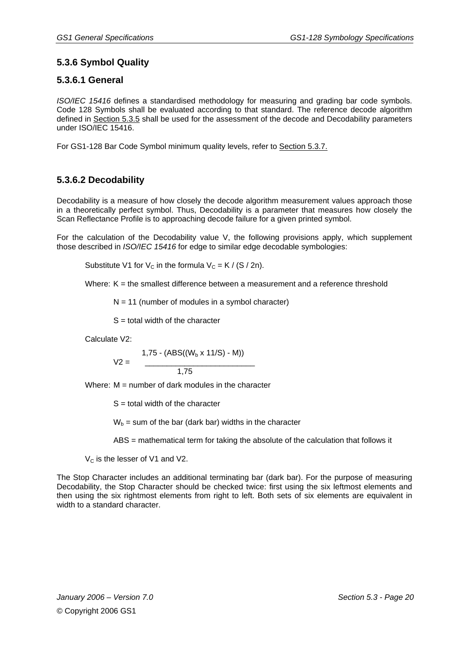# **5.3.6 Symbol Quality**

#### **5.3.6.1 General**

*ISO/IEC 15416* defines a standardised methodology for measuring and grading bar code symbols. Code 128 Symbols shall be evaluated according to that standard. The reference decode algorithm defined in Section 5.3.5 shall be used for the assessment of the decode and Decodability parameters under ISO/IEC 15416.

For GS1-128 Bar Code Symbol minimum quality levels, refer to Section 5.3.7.

#### **5.3.6.2 Decodability**

Decodability is a measure of how closely the decode algorithm measurement values approach those in a theoretically perfect symbol. Thus, Decodability is a parameter that measures how closely the Scan Reflectance Profile is to approaching decode failure for a given printed symbol.

For the calculation of the Decodability value V, the following provisions apply, which supplement those described in *ISO/IEC 15416* for edge to similar edge decodable symbologies:

Substitute V1 for  $V_c$  in the formula  $V_c = K / (S / 2n)$ .

Where:  $K =$  the smallest difference between a measurement and a reference threshold

 $N = 11$  (number of modules in a symbol character)

 $S =$  total width of the character

Calculate V2:

$$
V2 = \frac{1,75 - (ABS((W_b \times 11/S) - M))}{1,75}
$$

Where:  $M =$  number of dark modules in the character

 $S =$  total width of the character

 $W_b$  = sum of the bar (dark bar) widths in the character

ABS = mathematical term for taking the absolute of the calculation that follows it

 $V_c$  is the lesser of V1 and V2.

The Stop Character includes an additional terminating bar (dark bar). For the purpose of measuring Decodability, the Stop Character should be checked twice: first using the six leftmost elements and then using the six rightmost elements from right to left. Both sets of six elements are equivalent in width to a standard character.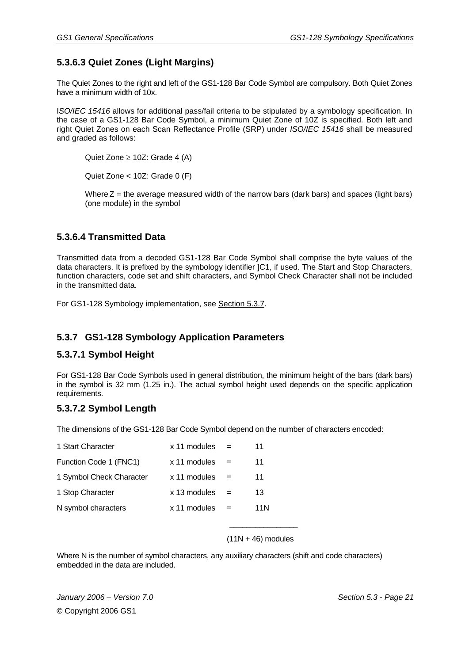# **5.3.6.3 Quiet Zones (Light Margins)**

The Quiet Zones to the right and left of the GS1-128 Bar Code Symbol are compulsory. Both Quiet Zones have a minimum width of 10x.

I*SO/IEC 15416* allows for additional pass/fail criteria to be stipulated by a symbology specification. In the case of a GS1-128 Bar Code Symbol, a minimum Quiet Zone of 10Z is specified. Both left and right Quiet Zones on each Scan Reflectance Profile (SRP) under *ISO/IEC 15416* shall be measured and graded as follows:

Quiet Zone ≥ 10Z: Grade 4 (A)

Quiet Zone < 10Z: Grade 0 (F)

Where  $Z =$  the average measured width of the narrow bars (dark bars) and spaces (light bars) (one module) in the symbol

#### **5.3.6.4 Transmitted Data**

Transmitted data from a decoded GS1-128 Bar Code Symbol shall comprise the byte values of the data characters. It is prefixed by the symbology identifier ]C1, if used. The Start and Stop Characters, function characters, code set and shift characters, and Symbol Check Character shall not be included in the transmitted data.

For GS1-128 Symbology implementation, see Section 5.3.7.

#### **5.3.7 GS1-128 Symbology Application Parameters**

#### **5.3.7.1 Symbol Height**

For GS1-128 Bar Code Symbols used in general distribution, the minimum height of the bars (dark bars) in the symbol is 32 mm (1.25 in.). The actual symbol height used depends on the specific application requirements.

#### **5.3.7.2 Symbol Length**

The dimensions of the GS1-128 Bar Code Symbol depend on the number of characters encoded:

| 1 Start Character        | x 11 modules |     | 11  |
|--------------------------|--------------|-----|-----|
| Function Code 1 (FNC1)   | x 11 modules | $=$ | 11  |
| 1 Symbol Check Character | x 11 modules | $=$ | 11  |
| 1 Stop Character         | x 13 modules |     | 13  |
| N symbol characters      | x 11 modules | $=$ | 11N |

 $\mathcal{L}_\text{max}$  and  $\mathcal{L}_\text{max}$  and  $\mathcal{L}_\text{max}$  and  $\mathcal{L}_\text{max}$  and  $\mathcal{L}_\text{max}$ 

#### $(11N + 46)$  modules

Where N is the number of symbol characters, any auxiliary characters (shift and code characters) embedded in the data are included.

*January 2006 – Version 7.0 Section 5.3 - Page 21*  © Copyright 2006 GS1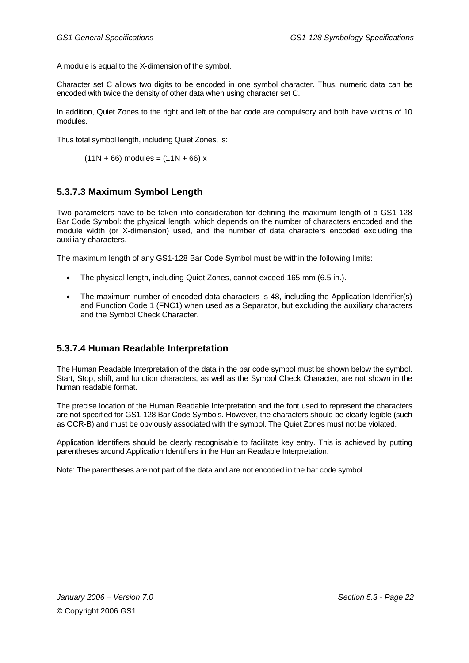A module is equal to the X-dimension of the symbol.

Character set C allows two digits to be encoded in one symbol character. Thus, numeric data can be encoded with twice the density of other data when using character set C.

In addition, Quiet Zones to the right and left of the bar code are compulsory and both have widths of 10 modules.

Thus total symbol length, including Quiet Zones, is:

 $(11N + 66)$  modules =  $(11N + 66)$  x

#### **5.3.7.3 Maximum Symbol Length**

Two parameters have to be taken into consideration for defining the maximum length of a GS1-128 Bar Code Symbol: the physical length, which depends on the number of characters encoded and the module width (or X-dimension) used, and the number of data characters encoded excluding the auxiliary characters.

The maximum length of any GS1-128 Bar Code Symbol must be within the following limits:

- The physical length, including Quiet Zones, cannot exceed 165 mm (6.5 in.).
- The maximum number of encoded data characters is 48, including the Application Identifier(s) and Function Code 1 (FNC1) when used as a Separator, but excluding the auxiliary characters and the Symbol Check Character.

#### **5.3.7.4 Human Readable Interpretation**

The Human Readable Interpretation of the data in the bar code symbol must be shown below the symbol. Start, Stop, shift, and function characters, as well as the Symbol Check Character, are not shown in the human readable format.

The precise location of the Human Readable Interpretation and the font used to represent the characters are not specified for GS1-128 Bar Code Symbols. However, the characters should be clearly legible (such as OCR-B) and must be obviously associated with the symbol. The Quiet Zones must not be violated.

Application Identifiers should be clearly recognisable to facilitate key entry. This is achieved by putting parentheses around Application Identifiers in the Human Readable Interpretation.

Note: The parentheses are not part of the data and are not encoded in the bar code symbol.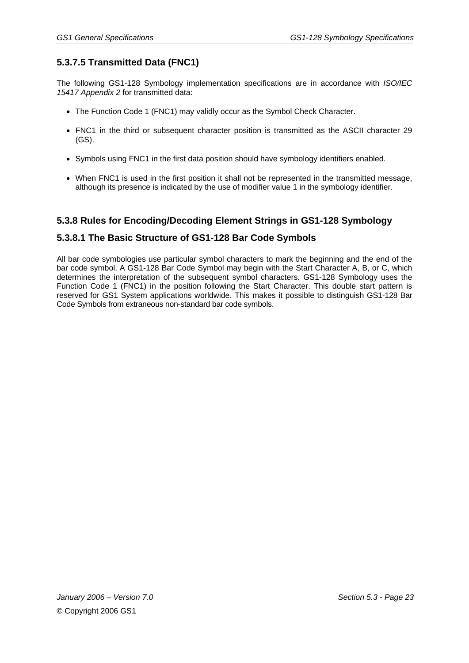# **5.3.7.5 Transmitted Data (FNC1)**

The following GS1-128 Symbology implementation specifications are in accordance with *ISO/IEC 15417 Appendix 2* for transmitted data:

- The Function Code 1 (FNC1) may validly occur as the Symbol Check Character.
- FNC1 in the third or subsequent character position is transmitted as the ASCII character 29 (GS).
- Symbols using FNC1 in the first data position should have symbology identifiers enabled.
- When FNC1 is used in the first position it shall not be represented in the transmitted message, although its presence is indicated by the use of modifier value 1 in the symbology identifier.

#### **5.3.8 Rules for Encoding/Decoding Element Strings in GS1-128 Symbology**

#### **5.3.8.1 The Basic Structure of GS1-128 Bar Code Symbols**

All bar code symbologies use particular symbol characters to mark the beginning and the end of the bar code symbol. A GS1-128 Bar Code Symbol may begin with the Start Character A, B, or C, which determines the interpretation of the subsequent symbol characters. GS1-128 Symbology uses the Function Code 1 (FNC1) in the position following the Start Character. This double start pattern is reserved for GS1 System applications worldwide. This makes it possible to distinguish GS1-128 Bar Code Symbols from extraneous non-standard bar code symbols.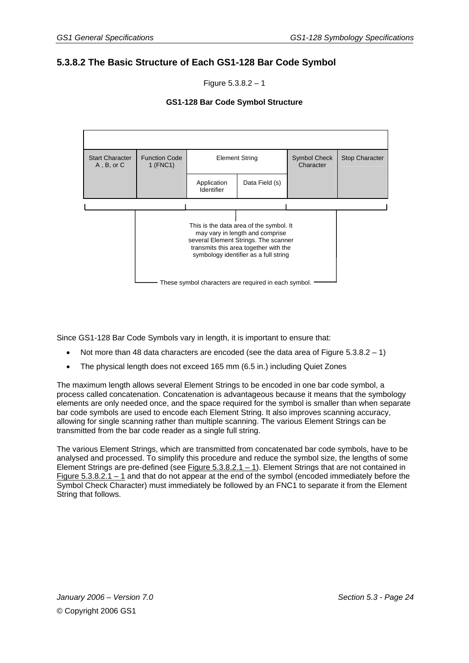#### **5.3.8.2 The Basic Structure of Each GS1-128 Bar Code Symbol**

Figure  $5.3.8.2 - 1$ 

#### **GS1-128 Bar Code Symbol Structure**



Since GS1-128 Bar Code Symbols vary in length, it is important to ensure that:

- Not more than 48 data characters are encoded (see the data area of Figure  $5.3.8.2 1$ )
- The physical length does not exceed 165 mm (6.5 in.) including Quiet Zones

The maximum length allows several Element Strings to be encoded in one bar code symbol, a process called concatenation. Concatenation is advantageous because it means that the symbology elements are only needed once, and the space required for the symbol is smaller than when separate bar code symbols are used to encode each Element String. It also improves scanning accuracy, allowing for single scanning rather than multiple scanning. The various Element Strings can be transmitted from the bar code reader as a single full string.

The various Element Strings, which are transmitted from concatenated bar code symbols, have to be analysed and processed. To simplify this procedure and reduce the symbol size, the lengths of some Element Strings are pre-defined (see Figure  $5.3.8.2.1 - 1$ ). Element Strings that are not contained in Figure  $5.3.8.2.1 - 1$  and that do not appear at the end of the symbol (encoded immediately before the Symbol Check Character) must immediately be followed by an FNC1 to separate it from the Element String that follows.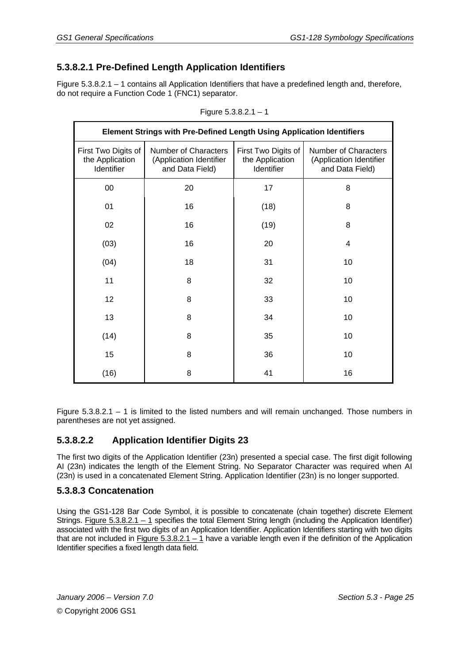# **5.3.8.2.1 Pre-Defined Length Application Identifiers**

Figure 5.3.8.2.1 – 1 contains all Application Identifiers that have a predefined length and, therefore, do not require a Function Code 1 (FNC1) separator.

|                                                      | Element Strings with Pre-Defined Length Using Application Identifiers |                                                      |                                                                    |
|------------------------------------------------------|-----------------------------------------------------------------------|------------------------------------------------------|--------------------------------------------------------------------|
| First Two Digits of<br>the Application<br>Identifier | Number of Characters<br>(Application Identifier<br>and Data Field)    | First Two Digits of<br>the Application<br>Identifier | Number of Characters<br>(Application Identifier<br>and Data Field) |
| 00                                                   | 20                                                                    | 17                                                   | 8                                                                  |
| 01                                                   | 16                                                                    | (18)                                                 | 8                                                                  |
| 02                                                   | 16                                                                    | (19)                                                 | 8                                                                  |
| (03)                                                 | 16                                                                    | 20                                                   | 4                                                                  |
| (04)                                                 | 18                                                                    | 31                                                   | 10                                                                 |
| 11                                                   | 8                                                                     | 32                                                   | 10                                                                 |
| 12                                                   | 8                                                                     | 33                                                   | 10                                                                 |
| 13                                                   | 8                                                                     | 34                                                   | 10                                                                 |
| (14)                                                 | 8                                                                     | 35                                                   | 10                                                                 |
| 15                                                   | 8                                                                     | 36                                                   | 10                                                                 |
| (16)                                                 | 8                                                                     | 41                                                   | 16                                                                 |

Figure 5.3.8.2.1 – 1

Figure 5.3.8.2.1 – 1 is limited to the listed numbers and will remain unchanged. Those numbers in parentheses are not yet assigned.

#### **5.3.8.2.2 Application Identifier Digits 23**

The first two digits of the Application Identifier (23n) presented a special case. The first digit following AI (23n) indicates the length of the Element String. No Separator Character was required when AI (23n) is used in a concatenated Element String. Application Identifier (23n) is no longer supported.

#### **5.3.8.3 Concatenation**

Using the GS1-128 Bar Code Symbol, it is possible to concatenate (chain together) discrete Element Strings. Figure 5.3.8.2.1 – 1 specifies the total Element String length (including the Application Identifier) associated with the first two digits of an Application Identifier. Application Identifiers starting with two digits that are not included in Figure 5.3.8.2.1 – 1 have a variable length even if the definition of the Application Identifier specifies a fixed length data field.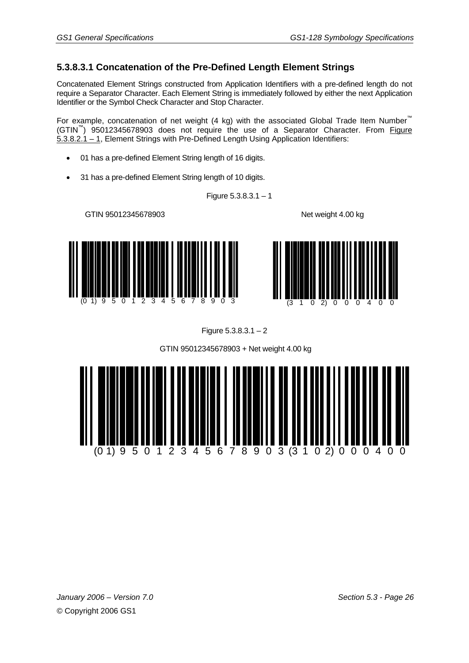#### **5.3.8.3.1 Concatenation of the Pre-Defined Length Element Strings**

Concatenated Element Strings constructed from Application Identifiers with a pre-defined length do not require a Separator Character. Each Element String is immediately followed by either the next Application Identifier or the Symbol Check Character and Stop Character.

For example, concatenation of net weight (4 kg) with the associated Global Trade Item Number<sup>™</sup> (GTIN™) 95012345678903 does not require the use of a Separator Character. From Figure 5.3.8.2.1 – 1, Element Strings with Pre-Defined Length Using Application Identifiers:

- 01 has a pre-defined Element String length of 16 digits.
- 31 has a pre-defined Element String length of 10 digits.

Figure  $5.3.8.3.1 - 1$ 

GTIN 95012345678903 Net weight 4.00 kg







GTIN 95012345678903 + Net weight 4.00 kg

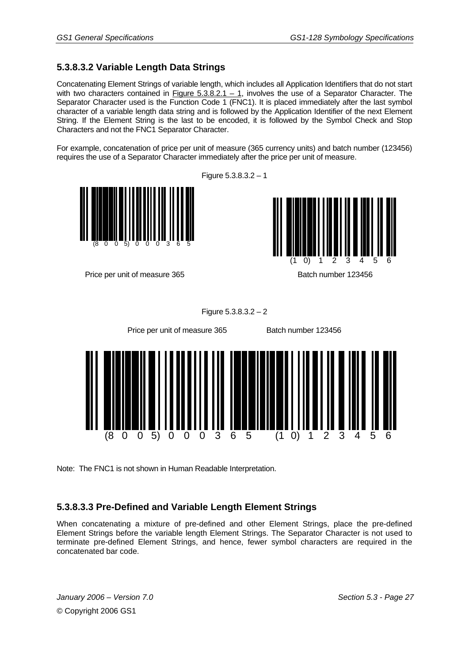## **5.3.8.3.2 Variable Length Data Strings**

Concatenating Element Strings of variable length, which includes all Application Identifiers that do not start with two characters contained in Figure  $5.3.8.2.1 - 1$ , involves the use of a Separator Character. The Separator Character used is the Function Code 1 (FNC1). It is placed immediately after the last symbol character of a variable length data string and is followed by the Application Identifier of the next Element String. If the Element String is the last to be encoded, it is followed by the Symbol Check and Stop Characters and not the FNC1 Separator Character.

For example, concatenation of price per unit of measure (365 currency units) and batch number (123456) requires the use of a Separator Character immediately after the price per unit of measure.

Figure 5.3.8.3.2 – 1



Price per unit of measure 365 Batch number 123456

(8 0 0 5) 0 0 0 3 6 5

Figure 5.3.8.3.2 – 2



Note: The FNC1 is not shown in Human Readable Interpretation.

#### **5.3.8.3.3 Pre-Defined and Variable Length Element Strings**

When concatenating a mixture of pre-defined and other Element Strings, place the pre-defined Element Strings before the variable length Element Strings. The Separator Character is not used to terminate pre-defined Element Strings, and hence, fewer symbol characters are required in the concatenated bar code.

*January 2006 – Version 7.0 Section 5.3 - Page 27*  © Copyright 2006 GS1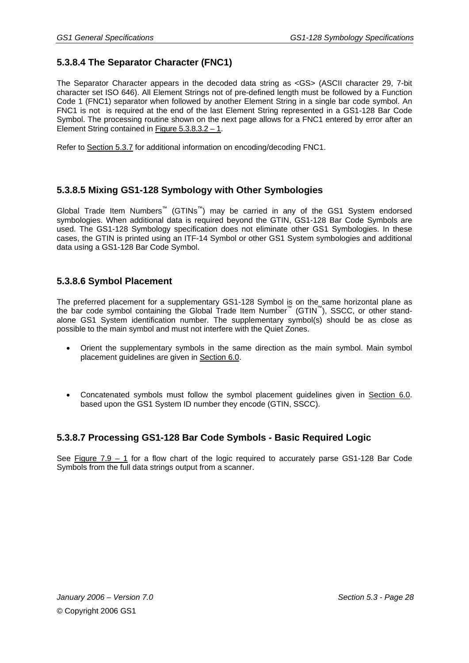# **5.3.8.4 The Separator Character (FNC1)**

The Separator Character appears in the decoded data string as <GS> (ASCII character 29, 7-bit character set ISO 646). All Element Strings not of pre-defined length must be followed by a Function Code 1 (FNC1) separator when followed by another Element String in a single bar code symbol. An FNC1 is not is required at the end of the last Element String represented in a GS1-128 Bar Code Symbol. The processing routine shown on the next page allows for a FNC1 entered by error after an Element String contained in Figure 5.3.8.3.2 – 1.

Refer to Section 5.3.7 for additional information on encoding/decoding FNC1.

#### **5.3.8.5 Mixing GS1-128 Symbology with Other Symbologies**

Global Trade Item Numbers™ (GTINs™) may be carried in any of the GS1 System endorsed symbologies. When additional data is required beyond the GTIN, GS1-128 Bar Code Symbols are used. The GS1-128 Symbology specification does not eliminate other GS1 Symbologies. In these cases, the GTIN is printed using an ITF-14 Symbol or other GS1 System symbologies and additional data using a GS1-128 Bar Code Symbol.

#### **5.3.8.6 Symbol Placement**

The preferred placement for a supplementary GS1-128 Symbol is on the same horizontal plane as the bar code symbol containing the Global Trade Item Number™ (GTIN™), SSCC, or other standalone GS1 System identification number. The supplementary symbol(s) should be as close as possible to the main symbol and must not interfere with the Quiet Zones.

- Orient the supplementary symbols in the same direction as the main symbol. Main symbol placement guidelines are given in Section 6.0.
- Concatenated symbols must follow the symbol placement guidelines given in Section 6.0. based upon the GS1 System ID number they encode (GTIN, SSCC).

#### **5.3.8.7 Processing GS1-128 Bar Code Symbols - Basic Required Logic**

See Figure 7.9 – 1 for a flow chart of the logic required to accurately parse GS1-128 Bar Code Symbols from the full data strings output from a scanner.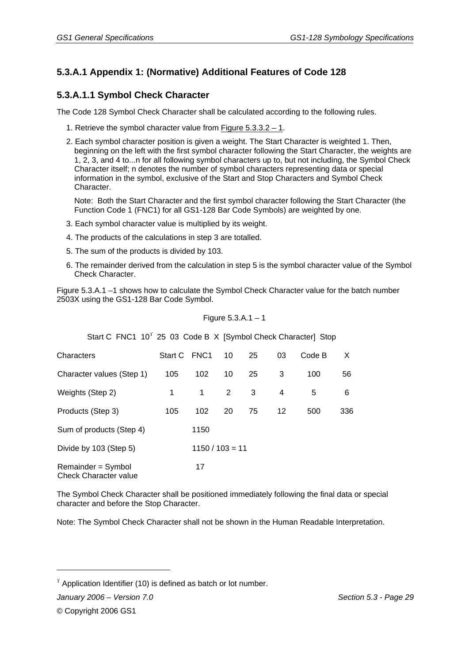# **5.3.A.1 Appendix 1: (Normative) Additional Features of Code 128**

#### **5.3.A.1.1 Symbol Check Character**

The Code 128 Symbol Check Character shall be calculated according to the following rules.

- 1. Retrieve the symbol character value from Figure 5.3.3.2 1.
- 2. Each symbol character position is given a weight. The Start Character is weighted 1. Then, beginning on the left with the first symbol character following the Start Character, the weights are 1, 2, 3, and 4 to...n for all following symbol characters up to, but not including, the Symbol Check Character itself; n denotes the number of symbol characters representing data or special information in the symbol, exclusive of the Start and Stop Characters and Symbol Check Character.

Note: Both the Start Character and the first symbol character following the Start Character (the Function Code 1 (FNC1) for all GS1-128 Bar Code Symbols) are weighted by one.

- 3. Each symbol character value is multiplied by its weight.
- 4. The products of the calculations in step 3 are totalled.
- 5. The sum of the products is divided by 103.
- 6. The remainder derived from the calculation in step 5 is the symbol character value of the Symbol Check Character.

Figure 5.3.A.1 –1 shows how to calculate the Symbol Check Character value for the batch number 2503X using the GS1-128 Bar Code Symbol.

Figure 5.3.A. 
$$
1 - 1
$$

| Start C FNC1 10 <sup>T</sup> 25 03 Code B X [Symbol Check Character] Stop |              |                   |                      |    |    |        |     |
|---------------------------------------------------------------------------|--------------|-------------------|----------------------|----|----|--------|-----|
| Characters                                                                | Start C FNC1 |                   | 10                   | 25 | 03 | Code B | X   |
| Character values (Step 1)                                                 | 105          | 102               | 10                   | 25 | 3  | 100    | 56  |
| Weights (Step 2)                                                          | 1            | 1                 | $\mathbf{2}^{\circ}$ | 3  | 4  | 5      | 6   |
| Products (Step 3)                                                         | 105          | 102               | 20                   | 75 | 12 | 500    | 336 |
| Sum of products (Step 4)                                                  |              | 1150              |                      |    |    |        |     |
| Divide by 103 (Step 5)                                                    |              | $1150 / 103 = 11$ |                      |    |    |        |     |
| Remainder = Symbol<br><b>Check Character value</b>                        |              | 17                |                      |    |    |        |     |

The Symbol Check Character shall be positioned immediately following the final data or special character and before the Stop Character.

Note: The Symbol Check Character shall not be shown in the Human Readable Interpretation.

 $\gamma$  Application Identifier (10) is defined as batch or lot number.

*January 2006 – Version 7.0 Section 5.3 - Page 29* 

1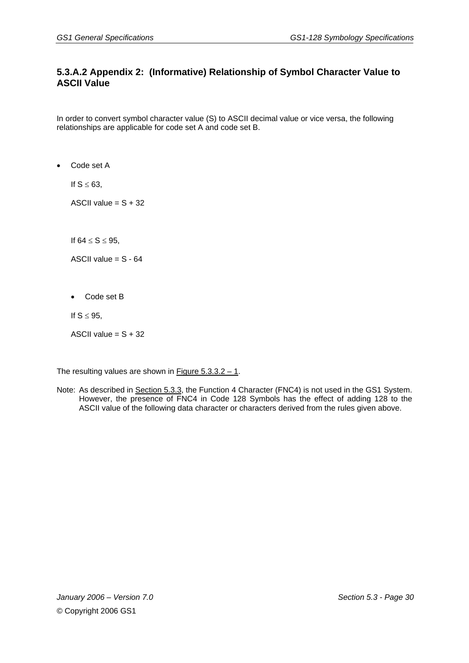#### **5.3.A.2 Appendix 2: (Informative) Relationship of Symbol Character Value to ASCII Value**

In order to convert symbol character value (S) to ASCII decimal value or vice versa, the following relationships are applicable for code set A and code set B.

• Code set A

If  $S \leq 63$ ,

ASCII value =  $S + 32$ 

If  $64 \le S \le 95$ ,

ASCII value  $= S - 64$ 

• Code set B

If  $S \leq 95$ ,

ASCII value  $= S + 32$ 

The resulting values are shown in Figure  $5.3.3.2 - 1$ .

Note: As described in Section 5.3.3, the Function 4 Character (FNC4) is not used in the GS1 System. However, the presence of FNC4 in Code 128 Symbols has the effect of adding 128 to the ASCII value of the following data character or characters derived from the rules given above.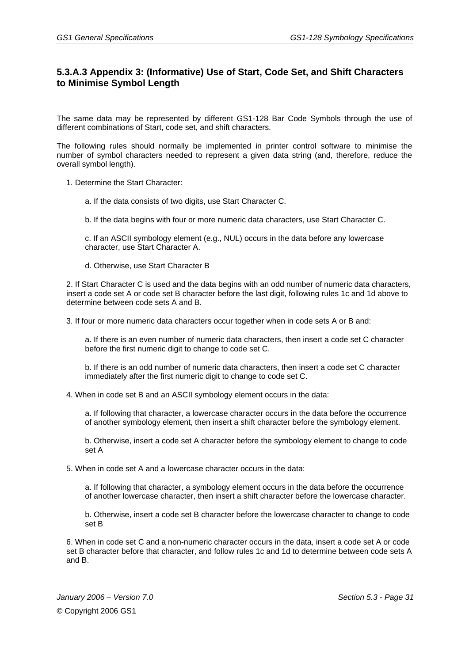#### **5.3.A.3 Appendix 3: (Informative) Use of Start, Code Set, and Shift Characters to Minimise Symbol Length**

The same data may be represented by different GS1-128 Bar Code Symbols through the use of different combinations of Start, code set, and shift characters.

The following rules should normally be implemented in printer control software to minimise the number of symbol characters needed to represent a given data string (and, therefore, reduce the overall symbol length).

1. Determine the Start Character:

a. If the data consists of two digits, use Start Character C.

b. If the data begins with four or more numeric data characters, use Start Character C.

c. If an ASCII symbology element (e.g., NUL) occurs in the data before any lowercase character, use Start Character A.

d. Otherwise, use Start Character B

2. If Start Character C is used and the data begins with an odd number of numeric data characters, insert a code set A or code set B character before the last digit, following rules 1c and 1d above to determine between code sets A and B.

3. If four or more numeric data characters occur together when in code sets A or B and:

a. If there is an even number of numeric data characters, then insert a code set C character before the first numeric digit to change to code set C.

b. If there is an odd number of numeric data characters, then insert a code set C character immediately after the first numeric digit to change to code set C.

4. When in code set B and an ASCII symbology element occurs in the data:

a. If following that character, a lowercase character occurs in the data before the occurrence of another symbology element, then insert a shift character before the symbology element.

b. Otherwise, insert a code set A character before the symbology element to change to code set A

5. When in code set A and a lowercase character occurs in the data:

a. If following that character, a symbology element occurs in the data before the occurrence of another lowercase character, then insert a shift character before the lowercase character.

b. Otherwise, insert a code set B character before the lowercase character to change to code set B

6. When in code set C and a non-numeric character occurs in the data, insert a code set A or code set B character before that character, and follow rules 1c and 1d to determine between code sets A and B.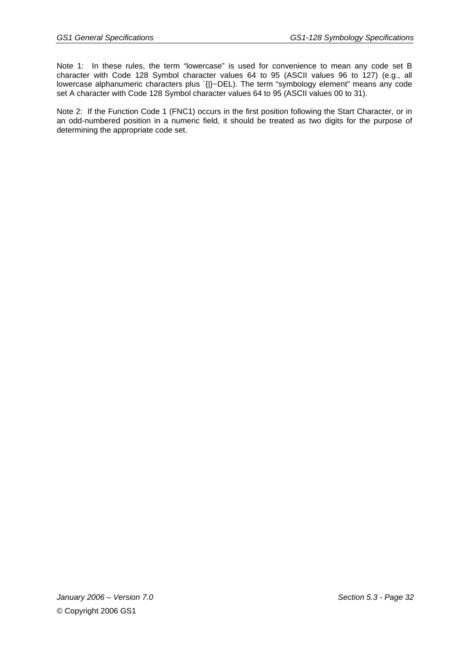Note 1: In these rules, the term "lowercase" is used for convenience to mean any code set B character with Code 128 Symbol character values 64 to 95 (ASCII values 96 to 127) (e.g., all lowercase alphanumeric characters plus `{|}~DEL). The term "symbology element" means any code set A character with Code 128 Symbol character values 64 to 95 (ASCII values 00 to 31).

Note 2: If the Function Code 1 (FNC1) occurs in the first position following the Start Character, or in an odd-numbered position in a numeric field, it should be treated as two digits for the purpose of determining the appropriate code set.